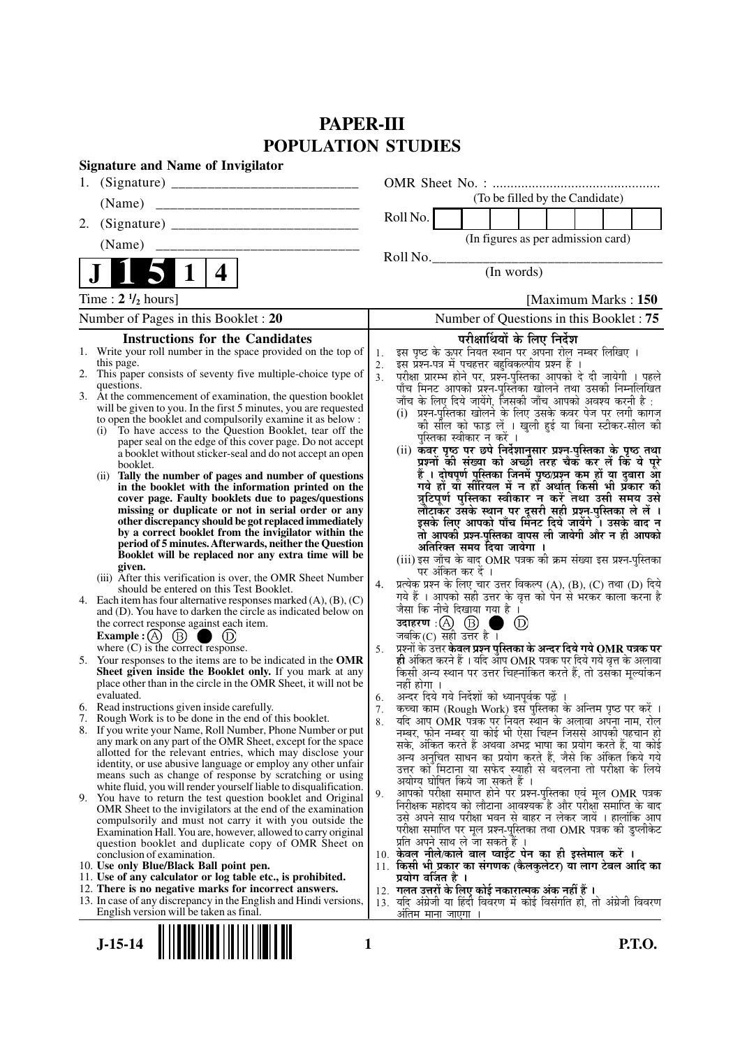# **PAPER-III POPULATION STUDIES**

|    | <b>Signature and Name of Invigilator</b>                                                                                          |                      |                                                                                                                                 |
|----|-----------------------------------------------------------------------------------------------------------------------------------|----------------------|---------------------------------------------------------------------------------------------------------------------------------|
| 1. |                                                                                                                                   |                      |                                                                                                                                 |
|    | (Name)                                                                                                                            |                      | (To be filled by the Candidate)                                                                                                 |
| 2. |                                                                                                                                   |                      | Roll No.                                                                                                                        |
|    | (Name)                                                                                                                            |                      | (In figures as per admission card)                                                                                              |
|    |                                                                                                                                   |                      | Roll No.                                                                                                                        |
|    | 4                                                                                                                                 |                      | (In words)                                                                                                                      |
|    | Time: $2 \frac{1}{2}$ hours]                                                                                                      |                      | [Maximum Marks: 150]                                                                                                            |
|    | Number of Pages in this Booklet : 20                                                                                              |                      | Number of Questions in this Booklet: 75                                                                                         |
|    | <b>Instructions for the Candidates</b>                                                                                            |                      | परीक्षार्थियों के लिए निर्देश                                                                                                   |
|    | 1. Write your roll number in the space provided on the top of                                                                     | 1.                   | इस पृष्ठ के ऊपर नियत स्थान पर अपना रोल नम्बर लिखिए ।                                                                            |
|    | this page.<br>2. This paper consists of seventy five multiple-choice type of                                                      | 2.<br>3 <sub>1</sub> | इस प्रश्न-पत्र में पचहत्तर बहुविकल्पीय प्रश्न हैं ।                                                                             |
|    | questions.                                                                                                                        |                      | परीक्षा प्रारम्भ होने पर, प्रश्न-पुस्तिका आपको दे दी जायेगी । पहले<br>पाँच मिनट आपको प्रश्न-पुस्तिका खोलने तथा उसकी निम्नलिखित  |
|    | 3. At the commencement of examination, the question booklet                                                                       |                      | जाँच के लिए दिये जायेंगे, जिसकी जाँच आपको अवश्य करनी है :                                                                       |
|    | will be given to you. In the first 5 minutes, you are requested<br>to open the booklet and compulsorily examine it as below :     |                      | (i)  प्रश्न-पुस्तिका खोलने के लिए उसके कवर पेज पर लगी कागज                                                                      |
|    | To have access to the Question Booklet, tear off the<br>(i)                                                                       |                      | की सील को फाड़ लें । खुली हुई या बिना स्टीकर-सील की                                                                             |
|    | paper seal on the edge of this cover page. Do not accept                                                                          |                      | पुस्तिका स्वीकार न करें ।                                                                                                       |
|    | a booklet without sticker-seal and do not accept an open                                                                          |                      | (ii) कवर पृष्ठ पर छपे निर्देशानुसार प्रश्न्-पुस्तिका के पृष्ठ तथा<br>प्रश्नों की संख्या को अच्छौ तरह चैक कर लें कि ये पूरे      |
|    | booklet.<br>Tally the number of pages and number of questions<br>(i)                                                              |                      | हैं । दोषपूर्ण पुस्तिका जि़नमें पृष्ठ/प्रश्न कम हों या दुबारा आ                                                                 |
|    | in the booklet with the information printed on the                                                                                |                      | गये हों या सीरियल में न हों अर्थात् किसी भी प्रकार की                                                                           |
|    | cover page. Faulty booklets due to pages/questions                                                                                |                      | त्रुटिपूर्ण पुस्तिका स्वीकार न करें तथा उसी समय उसे                                                                             |
|    | missing or duplicate or not in serial order or any<br>other discrepancy should be got replaced immediately                        |                      | लौटाकर उसके स्थान पर दूसरी सही प्रश्न-पुस्तिका ले लें ।<br>इसके लिए आपको पाँच मिनट दिये जायेंगे । उसके बाद न                    |
|    | by a correct booklet from the invigilator within the                                                                              |                      | तो आपकी प्रश्न-पुस्तिका वापस ली जायेगी और न ही आपको                                                                             |
|    | period of 5 minutes. Afterwards, neither the Question                                                                             |                      | अतिरिक्त समय दिया जायेगा ।                                                                                                      |
|    | Booklet will be replaced nor any extra time will be                                                                               |                      | (iii) इस जाँच के बाद OMR पत्रक की क्रम संख्या इस प्रश्न-पुस्तिका                                                                |
|    | given.<br>(iii) After this verification is over, the OMR Sheet Number                                                             |                      | पर अंकित कर दें ।                                                                                                               |
|    | should be entered on this Test Booklet.                                                                                           | 4.                   | प्रत्येक प्रश्न के लिए चार उत्तर विकल्प (A), (B), (C) तथा (D) दिये                                                              |
|    | 4. Each item has four alternative responses marked $(A)$ , $(B)$ , $(C)$                                                          |                      | गये हैं । आपको सही उत्तर के वृत्त को पेन से भरकर काला करना है<br>जैसा कि नीचे दिखाया गया है ।                                   |
|    | and (D). You have to darken the circle as indicated below on<br>the correct response against each item.                           |                      | उदाहरण: $(A)$ $(B)$<br>$\left(\mathrm{D}\right)$                                                                                |
|    | Example : $(A)$ (B)<br>(D)                                                                                                        |                      | जबकि (C) सही उत्तर है ।                                                                                                         |
|    | where $(C)$ is the correct response.                                                                                              | 5.                   | प्रश्नों के उत्तर केवल प्रश्न पुस्तिका के अन्दर दिये गये OMR पत्रक पर                                                           |
| 5. | Your responses to the items are to be indicated in the OMR                                                                        |                      | ही अंकित करने हैं । यदि आप OMR पत्रक पर दिये गये वृत्त के अलावा                                                                 |
|    | Sheet given inside the Booklet only. If you mark at any<br>place other than in the circle in the OMR Sheet, it will not be        |                      | किसी अन्य स्थान पर उत्तर चिह्नांकित करते हैं, तो उसका मूल्यांकन<br>नहीं होगा ।                                                  |
|    | evaluated.                                                                                                                        | 6.                   | अन्दर दिये गये निर्देशों को ध्यानपूर्वक पढ़ें                                                                                   |
|    | 6. Read instructions given inside carefully.                                                                                      | 7.                   | कच्चा काम (Rough Work) इस पुस्तिका के अन्तिम पृष्ठ पर करें ।                                                                    |
|    | 7. Rough Work is to be done in the end of this booklet.                                                                           | 8.                   | यदि आप OMR पत्रक पर नियत स्थान के अलावा अपना नाम, रोल                                                                           |
|    | 8. If you write your Name, Roll Number, Phone Number or put<br>any mark on any part of the OMR Sheet, except for the space        |                      | नम्बर, फोन नम्बर या कोई भी ऐसा चिह्न जिससे आपकी पहचान हो                                                                        |
|    | allotted for the relevant entries, which may disclose your                                                                        |                      | सके, अंकित करते हैं अथवा अभद्र भाषा का प्रयोग करते हैं, या कोई<br>अन्य अनचित साधन का प्रयोग करते हैं, जैसे कि अंकित किये गये    |
|    | identity, or use abusive language or employ any other unfair                                                                      |                      | उत्तर को मिटाना या सफेद स्याही से बदलना तो परीक्षा के लिये                                                                      |
|    | means such as change of response by scratching or using                                                                           |                      | अयोग्य घोषित किये जा सकते हैं ।                                                                                                 |
|    | white fluid, you will render yourself liable to disqualification.<br>9. You have to return the test question booklet and Original | 9.                   | आपको परीक्षा समाप्त होने पर प्रश्न-पुस्तिका एवं मूल OMR पत्रक                                                                   |
|    | OMR Sheet to the invigilators at the end of the examination                                                                       |                      | निरीक्षक महोदय को लौटाना आवश्यक है और परीक्षा समाप्ति के बाद                                                                    |
|    | compulsorily and must not carry it with you outside the                                                                           |                      | उसे अपने साथ परीक्षा भवन से बाहर न लेकर जायें । हालांकि आप<br>परीक्षा समाप्ति पर मूल प्रश्न-पुस्तिका तथा OMR पत्रक की डुप्लीकेट |
|    | Examination Hall. You are, however, allowed to carry original<br>question booklet and duplicate copy of OMR Sheet on              |                      | प्रति अपने साथ ले जा सकते हैं ।                                                                                                 |
|    | conclusion of examination.                                                                                                        |                      | 10. केवल नीले/काले बाल प्वाईंट पेन का ही इस्तेमाल करें ।                                                                        |
|    | 10. Use only Blue/Black Ball point pen.                                                                                           |                      | 11. किसी भी प्रकार का संगणक (कैलकुलेटर) या लाग टेबल आदि का                                                                      |
|    | 11. Use of any calculator or log table etc., is prohibited.<br>12. There is no negative marks for incorrect answers.              |                      | प्रयोग वर्जित है ।                                                                                                              |
|    | 13. In case of any discrepancy in the English and Hindi versions,                                                                 |                      | 12. गलत उत्तरों के लिए कोई नकारात्मक अंक नहीं हैं ।<br>13. यदि अंग्रेजी या हिंदी विवरण में कोई विसंगति हो, तो अंग्रेजी विवरण    |
|    | English version will be taken as final.                                                                                           |                      | अतिम माना जाएगा                                                                                                                 |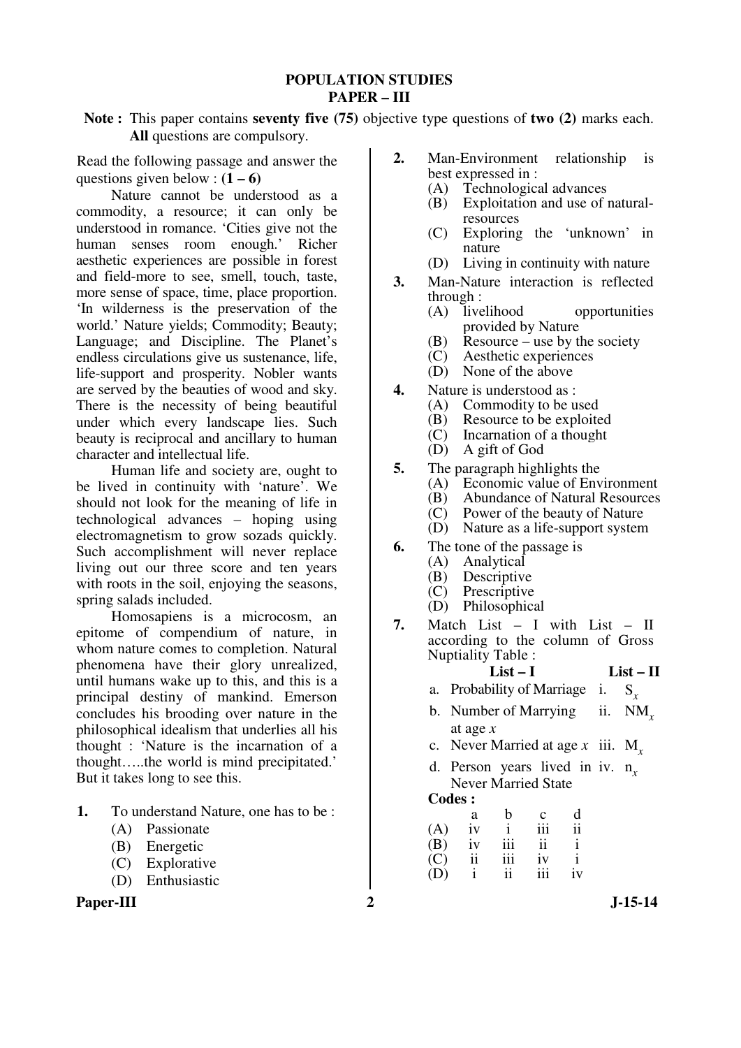### **POPULATION STUDIES PAPER – III**

**Note :** This paper contains **seventy five (75)** objective type questions of **two (2)** marks each. **All** questions are compulsory.

Read the following passage and answer the questions given below :  $(1 – 6)$ 

 Nature cannot be understood as a commodity, a resource; it can only be understood in romance. 'Cities give not the human senses room enough.' Richer aesthetic experiences are possible in forest and field-more to see, smell, touch, taste, more sense of space, time, place proportion. 'In wilderness is the preservation of the world.' Nature yields; Commodity; Beauty; Language; and Discipline. The Planet's endless circulations give us sustenance, life, life-support and prosperity. Nobler wants are served by the beauties of wood and sky. There is the necessity of being beautiful under which every landscape lies. Such beauty is reciprocal and ancillary to human character and intellectual life.

 Human life and society are, ought to be lived in continuity with 'nature'. We should not look for the meaning of life in technological advances – hoping using electromagnetism to grow sozads quickly. Such accomplishment will never replace living out our three score and ten years with roots in the soil, enjoying the seasons, spring salads included.

 Homosapiens is a microcosm, an epitome of compendium of nature, in whom nature comes to completion. Natural phenomena have their glory unrealized, until humans wake up to this, and this is a principal destiny of mankind. Emerson concludes his brooding over nature in the philosophical idealism that underlies all his thought : 'Nature is the incarnation of a thought…..the world is mind precipitated.' But it takes long to see this.

- **1.** To understand Nature, one has to be :
	- (A) Passionate
	- (B) Energetic
	- (C) Explorative
	- (D) Enthusiastic

## Paper-III 2 J-15-14

- **2.** Man-Environment relationship is best expressed in :
	- (A) Technological advances
	- (B) Exploitation and use of naturalresources
	- (C) Exploring the 'unknown' in nature
	- (D) Living in continuity with nature
- **3.** Man-Nature interaction is reflected through :
	- (A) livelihood opportunities provided by Nature
	- (B) Resource use by the society
	- (C) Aesthetic experiences
	- (D) None of the above
- **4.** Nature is understood as :
	- (A) Commodity to be used
	- (B) Resource to be exploited
	- $\vec{(C)}$  Incarnation of a thought
	- (D) A gift of God
- **5.** The paragraph highlights the
	- (A) Economic value of Environment
	- (B) Abundance of Natural Resources
	- (C) Power of the beauty of Nature
	- (D) Nature as a life-support system
- **6.** The tone of the passage is
	- (A) Analytical
	- (B) Descriptive<br>(C) Prescriptive
	- Prescriptive
	- (D) Philosophical
- **7.** Match List I with List II according to the column of Gross Nuptiality Table :

### **List – I List – II**

- a. Probability of Marriage i. S*<sup>x</sup>*
- b. Number of Marrying at age *x* ii. NM*<sup>x</sup>*
- c. Never Married at age  $x$  iii. M<sub>x</sub>
- d. Person years lived in iv.  $n_x$ Never Married State

|     | а  | b   | $\mathbf c$ | d  |
|-----|----|-----|-------------|----|
| (A) | iv |     | 111         | ii |
| (B) | iv | 111 | ii          |    |
| (C) | ii | 111 | iv          |    |
| (D) | i  | ii  | 111         | iv |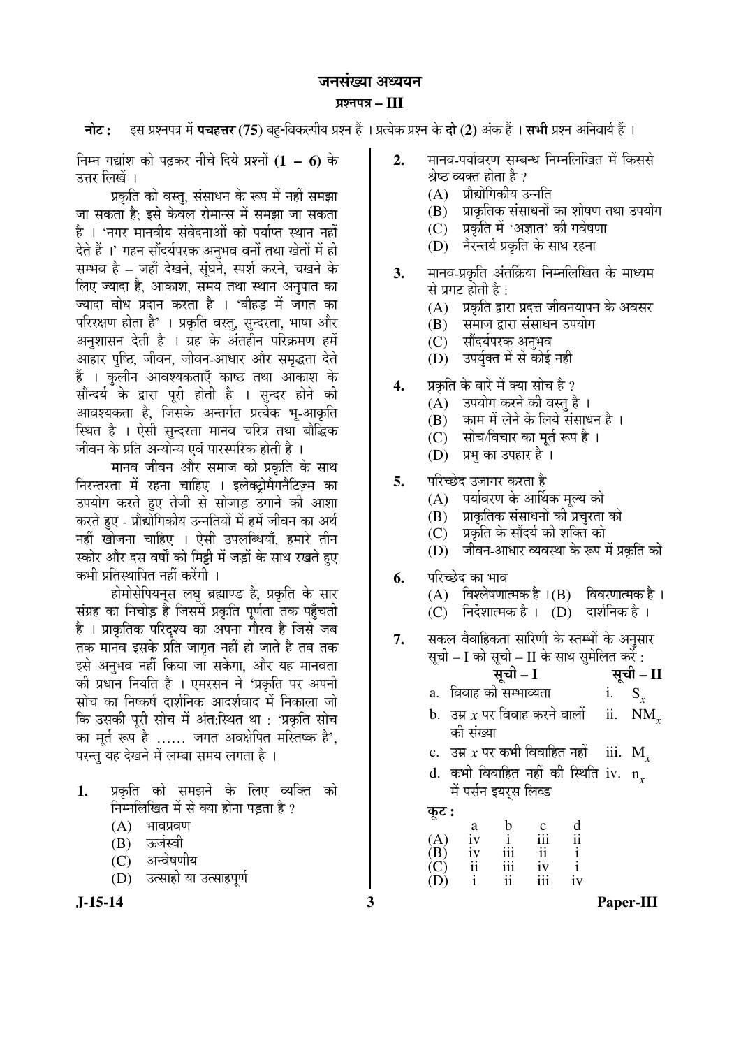# जनसंख्या अध्ययन ¯ÖÏ¿®Ö¯Ö¡Ö **– III**

**नोट :** इस प्रश्नपत्र में **पचहत्तर (75)** बहु-विकल्पीय प्रश्न हैं । प्रत्येक प्रश्न के **दो (2)** अंक हैं । सभी प्रश्न अनिवार्य हैं ।

×®Ö´®Ö ÝÖªÖÓ¿Ö ÛúÖê ¯ÖœÌüÛú¸ü ®Öß"Öê פüµÖê ¯ÖÏ¿®ÖÖë **(1 – 6)** Ûêú उत्तर लिखें ।

प्रकृति को वस्तु, संसाधन के रूप में नहीं समझा <u>जा सकता है: इसे केवल रोमान्स में समझा जा सकता</u> है । 'नगर मानवीय संवेदनाओं को पर्याप्त स्थान नहीं देते हैं ।' गहन सौंदर्यपरक अनुभव वनों तथा खेतों में ही सम्भव है – जहाँ देखने, सुंघने, स्पर्श करने, चखने के लिए ज्यादा है, आकाश, समय तथा स्थान अनुपात का ज्यादा बोध प्रदान करता है । 'बीहड में जगत का परिरक्षण होता है' । प्रकृति वस्तु, सुन्दरता, भाषा और अनुशासन देती है । ग्रह के अंतहीन परिक्रमण हमें आहार पुष्ठि, जीवन, जीवन-आधार और समृद्धता देते हैं । कुलीन आवश्यकताएँ काष्ठ तथा आकाश के सौन्दर्य के द्वारा पूरी होती है । सुन्दर होने की आवश्यकता है, जिसके अन्तर्गत प्रत्येक भू-आकृति स्थित है । ऐसी सुन्दरता मानव चरित्र तथा बौद्धिक जीवन के प्रति अन्योन्य एवं पारस्परिक होती है ।

मानव जीवन और समाज को प्रकृति के साथ निरन्तरता में रहना चाहिए । इलेक्ट्रोमैगनैटिज़्म का उपयोग करते हुए तेजी से सोजाड़ उगाने की आशा करते हुए - प्रौद्योगिकीय उन्नतियों में हमें जीवन का अर्थ नहीं खोजना चाहिए । ऐसी उपलब्धियाँ, हमारे तीन स्कोर और दस वर्षों को मिट्टी में जड़ों के साथ रखते हुए कभी प्रतिस्थापित नहीं करेंगी ।

होमोसेपियन्स लघु ब्रह्माण्ड है, प्रकृति के सार संग्रह का निचोड़ है जिसमें प्रकृति पूर्णता तक पहुँचती है । प्राकृतिक परिदृश्य का अपना गौरव है जिसे जब तक मानव इसके प्रति जागत नहीं हो जाते है तब तक इसे अनुभव नहीं किया जा सकेगा. और यह मानवता की प्रधान नियति है । एमरसन ने 'प्रकृति पर अपनी सोच का निष्कर्ष दार्शनिक आदर्शवाद में निकाला जो कि उसकी पूरी सोच में अंत:स्थित था : 'प्रकृति सोच का मूर्त रूप है …… जगत अवक्षेपित मस्तिष्क है', परन्त यह देखने में लम्बा समय लगता है ।

- 1. प्रकृति को समझने के लिए व्यक्ति को निम्नलिखित में से क्या होना पड़ता है ?
	- $(A)$  भावप्रवण
	- (B) ऊर्जस्वी
	- (C) अन्वेषणीय
	- (D) उत्साही या उत्साहपूर्ण
- 
- 2. THE POST ALS THE READ THE THE THE THE श्रेष्ठ व्यक्त होता है ?
	- $(A)$  प्रौद्योगिकीय उन्नति
	- $(B)$  प्राकृतिक संसाधनों का शोषण तथा उपयोग
	- (C) प्रकृति में 'अज्ञात' की गवेषणा
	- (D) नैरन्तर्य प्रकृति के साथ रहना
- **3.** मानव-प्रकृति अंतर्क्रिया निम्नलिखित के माध्यम से प्रगट होती है $\cdot$ 
	- $(A)$  प्रकृति द्वारा प्रदत्त जीवनयापन के अवसर
	- (B) समाज द्वारा संसाधन उपयोग
	- (C) सौंदर्यपरक अनुभव
	- (D) उपर्युक्त में से कोई नहीं
- **4.** प्रकृति के बारे में क्या सोच है ?
	- (A) उपयोग करने की वस्तु है ।
	- (B) काम में लेने के लिये संसाधन है)।
	- (C) सोच/विचार का मूर्त रूप है।
	- (D) प्रभु का उपहार है ।
- **5.** परिच्छेद उजागर करता है
	- (A) पर्यावरण के आर्थिक मल्य को
	- (B) प्राकृतिक संसाधनों की प्रचुरता को
	- (C) प्रकृति के सौंदर्य की शक्ति को
	- (D) जीवन-आधार व्यवस्था के रूप में प्रकृति को
- **6.** परिच्छेद का भाव

| (A) | विश्लेषणात्मक है ।(B) | विवरणात्मक है । |  |
|-----|-----------------------|-----------------|--|
|     |                       |                 |  |

- $(C)$  निर्देशात्मक है ।  $(D)$  दार्शनिक है ।
- 7. सकल वैवाहिकता सारिणी के स्तम्भों के अनुसार सूची – I को सूची – II के साथ सुमेलित करें :
	- सूची I <del>सू</del>ची II
	- a. विवाह की सम्भाव्यता $\qquad \qquad \text{i.} \quad \text{S}_r$
	- $b.$  उम्र  $x$  पर विवाह करने वालों को संख्या ii. NM*<sup>x</sup>*
	- <u>c.</u> उम्र x पर कभी विवाहित नहीं iii.  $M_r$
	- $\,$ d. कभी विवाहित नहीं की स्थिति iv.  $\,$  n $_{x}$ में पर्सन इयरस लिव्ड

Ûæú™ü **:**

 a b c d  $(A)$  iv i iii ii  $(B)$  iv iii ii i  $(C)$  ii iii iv i (D) i ii iii iv

**J-15-14 3 Paper-III**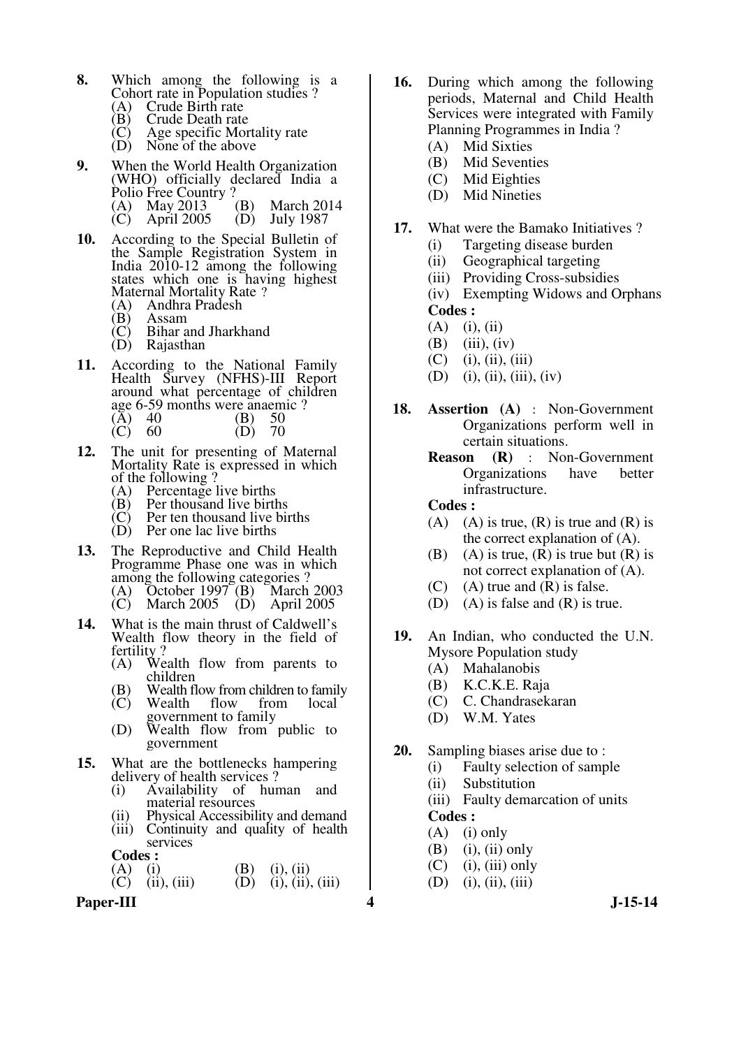- **8.** Which among the following is a Cohort rate in Population studies ?<br>(A) Crude Birth rate
	- (A) Crude Birth rate<br>(B) Crude Death rate
	- $(B)$  Crude Death rate<br>  $(C)$  Age specific Mor
	- $\begin{pmatrix} C \\ D \end{pmatrix}$  Age specific Mortality rate<br>(D) None of the above
	- None of the above
- **9.** When the World Health Organization (WHO) officially declared India a Polio Free Country ?<br>(A) May 2013 (B) (A) May 2013 (B) March 2014<br>(C) April 2005 (D) July 1987
	- April 2005
- **10.** According to the Special Bulletin of the Sample Registration System in India 2010-12 among the following states which one is having highest Maternal Mortality Rate ?
	- (A) Andhra Pradesh
	- (B) Assam<br>(C) Bihar a
	- $(C)$  Bihar and Jharkhand<br> $(D)$  Rajasthan
	- Rajasthan
- **11.** According to the National Family Health Survey (NFHS)-III Report around what percentage of children age 6-59 months were anaemic ?<br>(A)  $40$  (B) 50  $(A)$  40  $(B)$  50
- (C) 60 (D) 70
- **12.** The unit for presenting of Maternal Mortality Rate is expressed in which of the following ?<br>(A) Percentage 1
	- (A) Percentage live births<br>(B) Per thousand live birth
	- (B) Per thousand live births<br>(C) Per ten thousand live bir
	- $(C)$  Per ten thousand live births<br>  $(D)$  Per one lac live births Per one lac live births
	-
- **13.** The Reproductive and Child Health Programme Phase one was in which among the following categories ?<br>(A) October 1997 (B) March
	- (A) October 1997 (B) March 2003
	- March 2005 (D) April 2005
- **14.** What is the main thrust of Caldwell's Wealth flow theory in the field of fertility?<br>(A) We
	- Wealth flow from parents to children
	- (B) Wealth flow from children to family<br>(C) Wealth flow from local
	- Wealth government to family
	- (D) Wealth flow from public to government
- **15.** What are the bottlenecks hampering
	- delivery of health services ?<br>(i) Availability of hun Availability of human and material resources
	-
	- (ii) Physical Accessibility and demand<br>(iii) Continuity and quality of health Continuity and quality of health services

**Codes : (A)** (**i**)

- (A) (i) (B) (i), (ii) (C) (ii), (iii) (B) (i), (ii)
	- $(i)$ ,  $(ii)$ ,  $(iii)$

Paper-III **1.15-14** 

- **16.** During which among the following periods, Maternal and Child Health Services were integrated with Family Planning Programmes in India ?
	- (A) Mid Sixties
	- (B) Mid Seventies
	- (C) Mid Eighties
	- (D) Mid Nineties
- **17.** What were the Bamako Initiatives ?
	- (i) Targeting disease burden
	- (ii) Geographical targeting
	- (iii) Providing Cross-subsidies

 (iv) Exempting Widows and Orphans **Codes :** 

- $(A)$  (i), (ii)
- $(B)$  (iii), (iv)
- $(C)$  (i), (ii), (iii)
- (D) (i), (ii), (iii), (iv)
- **18. Assertion (A)** : Non-Government Organizations perform well in certain situations.
	- **Reason** (**R**) : Non-Government<br>Organizations have better **Organizations** infrastructure.

- (A) (A) is true,  $(R)$  is true and  $(R)$  is the correct explanation of (A).
- (B) (A) is true,  $(R)$  is true but  $(R)$  is not correct explanation of (A).
- $(C)$  (A) true and  $(R)$  is false.
- (D) (A) is false and (R) is true.
- **19.** An Indian, who conducted the U.N. Mysore Population study
	- (A) Mahalanobis
	- (B) K.C.K.E. Raja
	- (C) C. Chandrasekaran
	- (D) W.M. Yates
- **20.** Sampling biases arise due to :
	- (i) Faulty selection of sample
	- (ii) Substitution
	- (iii) Faulty demarcation of units  **Codes :**
	- $(A)$  (i) only
	-
	- $(B)$  (i), (ii) only  $(C)$  (i), (iii) only
	- $(D)$  (i), (ii), (iii)
-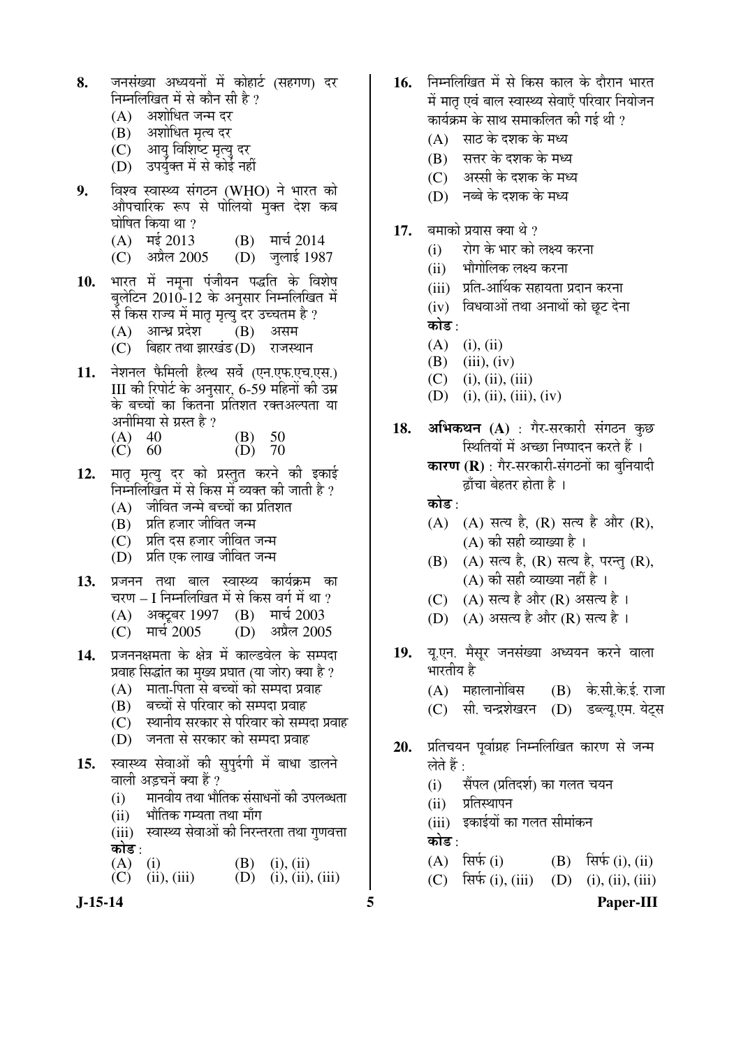- 8. जनसंख्या अध्ययनों में कोहार्ट (सहगण) दर निम्नलिखित में से कौन सी है ?
	- $(A)$  अशोधित जन्म दर
	- (B) अशोधित मत्य दर
	- $(C)$  आयु विशिष्ट मृत्यु दर
	- (D) उपर्युक्त में से कोई नहीं
- **9.** विश्व स्वास्थ्य संगठन (WHO) ने भारत को औपचारिक रूप से पोलियो मुक्त देश कब घोषित किया था ?<br>(A) मई 2013
	- (A) मई 2013 (B) मार्च 2014<br>(C) अप्रैल 2005 (D) जुलाई 198
	- (D) जलाई 1987
- 10. भारत में नमना पंजीयन पद्धति के विशेष बलेटिन 2010-12 के अनुसार निम्नलिखित में से किस राज्य में मातृ मृत्यु दर उच्चतम है ?
	- $(A)$  आन्ध्र प्रदेश  $(B)$  असम
	- $(C)$  बिहार तथा झारखंड $(D)$  राजस्थान
- 11. नेशनल फैमिली हैल्थ सर्वे (एन.एफ.एच.एस.) III की रिपोर्ट के अनसार, 6-59 महिनों की उम्र के बच्चों का कितना प्रतिशत रक्तअल्पता या अनीमिया से ग्रस्त है ?
	- (A) 40 (B) 50<br>(C) 60 (D) 70  $\tilde{C}$  60
- 12. मातृ मृत्यु दर को प्रस्तुत करने की इकाई निम्नलिखित में से किस में व्यक्त की जाती है ?
	- $(A)$  जीवित जन्मे बच्चों का प्रतिशत
	- $(B)$  प्रति हजार जीवित जन्म
	- (C) जयति दस हजार जीवित जन्म
	- $(D)$  प्रति एक लाख जीवित जन्म
- 13. प्रजनन तथा बाल स्वास्थ्य कार्यक्रम का चरण – I निम्नलिखित में से किस वर्ग में था ?
	- (A) अक्टूबर 1997 (B) मार्च 2003
	- (C) मार्च 2005 (D) अप्रैल 2005
- 14. प्रजननक्षमता के क्षेत्र में काल्डवेल के सम्पदा प्रवाह सिद्धांत का मुख्य प्रघात (या जोर) क्या है ?
	- $(A)$  गता-पिता से बच्चों को सम्पदा प्रवाह
	-
	- (B) बच्चों से परिवार को सम्पदा प्रवाह<br>(C) स्थानीय सरकार से परिवार को सम्प स्थानीय सरकार से परिवार को सम्पदा प्रवाह
	- (D) जनता से सरकार को सम्पदा प्रवाह
- 15. स्वास्थ्य सेवाओं की सुपर्दगी में बाधा डालने वाली अड़चनें क्या हैं ?
	- $(i)$  न्मानवीय तथा भौतिक संसाधनों की उपलब्धता
	- (ii) भौतिक गम्यता तथा माँग
	- (iii) स्वास्थ्य सेवाओं की निरन्तरता तथा गुणवत्ता कोड :<br>(A) (i)
	- (A) (i) (B) (i), (ii) (C) (ii), (iii) (B) (i), (ii)  $(ii), (ii), (iii)$
- **J-15-14 5 Paper-III**
- 1**6.** निम्नलिखित में से किस काल के दौरान भारत में मात एवं बाल स्वास्थ्य सेवाएँ परिवार नियोजन कार्यक्रम के साथ समाकलित की गई थी ?
	- $(A)$  साठ के दशक के मध्य
	- $(B)$  सत्तर के दशक के मध्य
	- (C) आस्सी के दशक के मध्य
	- (D) नब्बे के दशक के मध्य
- **17.** बमाको प्रयास क्या थे ?
	- (i) । रोग के भार को लक्ष्य करना
	- (ii) भौगोलिक लक्ष्य करना
	- (iii) प्रति-आर्थिक सहायता प्रदान करना
	- (iv) विधवाओं तथा अनाथों को छूट देना कोड़<sup>.</sup>
	- $(A)$  (i), (ii)
	- $(B)$  (iii), (iv)
	- $(C)$  (i), (ii), (iii)
	- $(D)$  (i), (ii), (iii), (iv)
- **18. अभिकथन (A)** : गैर-सरकारी संगठन कुछ स्थितियों में अच्छा निष्पादन करते हैं ।
	- **कारण (R)** : गैर-सरकारी-संगठनों का बनियादी ढाँचा बेहतर होता है ।

कोड़ $\cdot$ 

- $(A)$   $(A)$  सत्य है,  $(R)$  सत्य है और  $(R)$ ,  $(A)$  की सही व्याख्या है।
- $(B)$   $(A)$  सत्य है,  $(R)$  सत्य है, परन्तु  $(R)$ ,  $(A)$  की सही व्याख्या नहीं है ।
- $(C)$   $(A)$  सत्य है और  $(R)$  असत्य है ।
- (D) (A) असत्य है और (R) सत्य है ।
- 19. यु.एन. मैसूर जनसंख्या अध्ययन करने वाला भारतीय है  $(A)$  महालानोबिस  $(B)$  के.सी.के.ई. राजा (C) सी. चन्द्रशेखरन (D) डब्ल्यू.एम. येट्स
- 20. प्रतिचयन पर्वाग्रह निम्नलिखित कारण से जन्म लेते हैं :
	- (i) सैंपल (प्रतिदर्श) का गलत चयन
	- $(i)$  प्रतिस्थापन
	- (iii) इकाईयों का गलत सीमांकन

कोड़ $\cdot$ 

- (A)  $\hat{\mathbb{R}}$ <sup>th</sup> (i) (B)  $\hat{\mathbb{R}}$ <sup>th</sup> (i), (ii)
- (C)  $\hat{\mathbb{R}}\hat{\mathbb{F}}$  (i), (iii) (D) (i), (ii), (iii)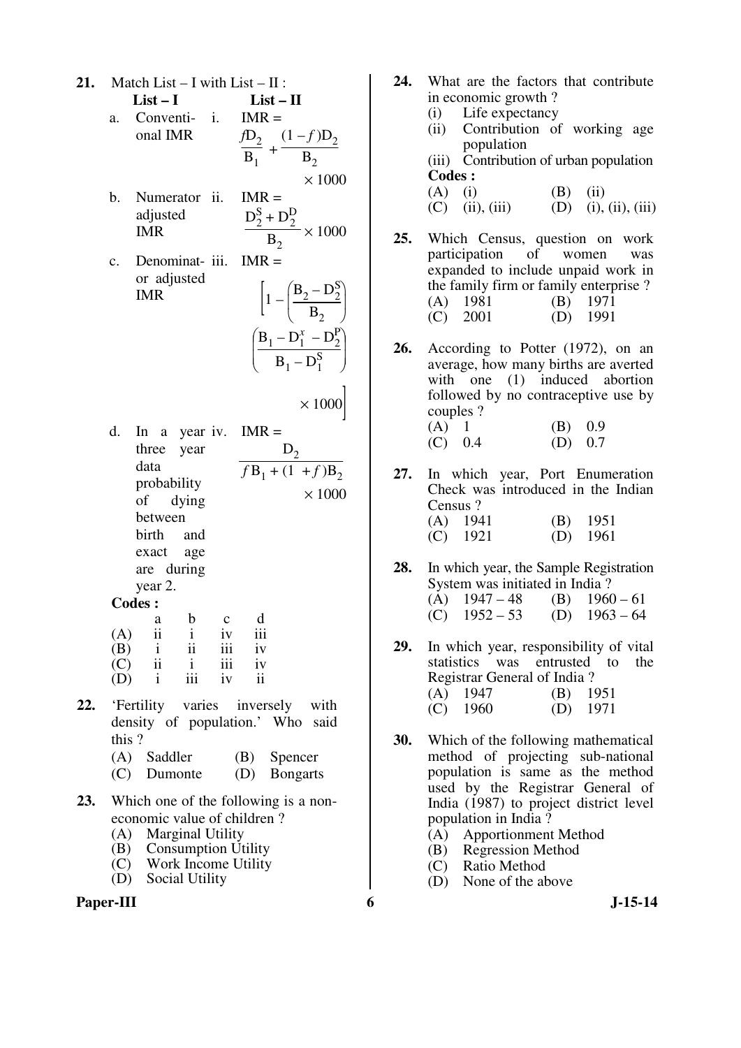- **21.** Match List I with List II :
	- $List-I$   $List-II$ a. Conventi- i. onal IMR  $IMR =$  $fD_2$  $\frac{1}{B_1}$  +  $(1 - f)D_2$  $B<sub>2</sub>$
	- $\times$  1000 b. Numerator ii. adjusted IMR  $IMR =$  $\mathrm{D}_2^{\mathrm{S}}$  $_{2}^{\text{S}} + D_{2}^{\text{D}}$  $B<sub>2</sub>$  $\times$  1000
	- c. Denominator adjusted IMR  $IMR =$  $\vert 1$ l I ſ  $B_2 - D_2^S$  $B<sub>2</sub>$  $\overline{\mathcal{C}}$  $\int$  $\left[\text{B}_{1} - \text{D}_{1}^{x} - \text{D}_{2}^{p}\right]$  $B_1 - D_1^S$

 $\times$  1000

J  $\cdot \rceil$ 

 $\int$ 

d. In a year iv. IMR  $=$ three year data probability of dying between birth and exact age are during year 2.  $D<sub>2</sub>$  $f B_1 + (1 + f) B_2$  $\times$  1000

| odes |  |
|------|--|
|      |  |

|     | a  | b   | $\mathbf c$ | d   |
|-----|----|-----|-------------|-----|
| (A) | ii |     | iv          | 111 |
| (B) |    | ii  | 111         | iv  |
| (C) | ii |     | 111         | iv  |
| (D) |    | 111 | İV          | 11  |

- **22.** 'Fertility varies inversely with density of population.' Who said this ?
	- (A) Saddler (B) Spencer
	- (C) Dumonte (D) Bongarts
- **23.** Which one of the following is a noneconomic value of children ?
	- (A) Marginal Utility
	- (B) Consumption Utility
	- (C) Work Income Utility
	- (D) Social Utility



- **24.** What are the factors that contribute in economic growth ?
	- (i) Life expectancy
	- (ii) Contribution of working age population (iii) Contribution of urban population

- (A) (i) (B) (ii) (C) (ii), (iii) (D) (i),  $(D)$  (i), (ii), (iii)
- **25.** Which Census, question on work participation of women was expanded to include unpaid work in the family firm or family enterprise ? (A) 1981 (B) 1971 (C) 2001 (D) 1991
- **26.** According to Potter (1972), on an average, how many births are averted with one (1) induced abortion followed by no contraceptive use by couples ?
	- (A)  $1$  (B) 0.9<br>(C) 0.4 (D) 0.7  $(D) 0.7$
- **27.** In which year, Port Enumeration Check was introduced in the Indian Census ? (A) 1941 (B) 1951 (C) 1921 (D) 1961  $(C)$  1921
- **28.** In which year, the Sample Registration System was initiated in India ?<br>(A)  $1947 - 48$  (B)  $1960 - 61$ (A)  $1947 - 48$  (B)  $1960 - 61$ <br>(C)  $1952 - 53$  (D)  $1963 - 64$  $(C)$  1952 – 53
- **29.** In which year, responsibility of vital statistics was entrusted to the Registrar General of India ? (A) 1947 (B) 1951 (C) 1960 (D) 1971
- **30.** Which of the following mathematical method of projecting sub-national population is same as the method used by the Registrar General of India (1987) to project district level population in India ?
	- (A) Apportionment Method
	- (B) Regression Method
	- (C) Ratio Method
	- (D) None of the above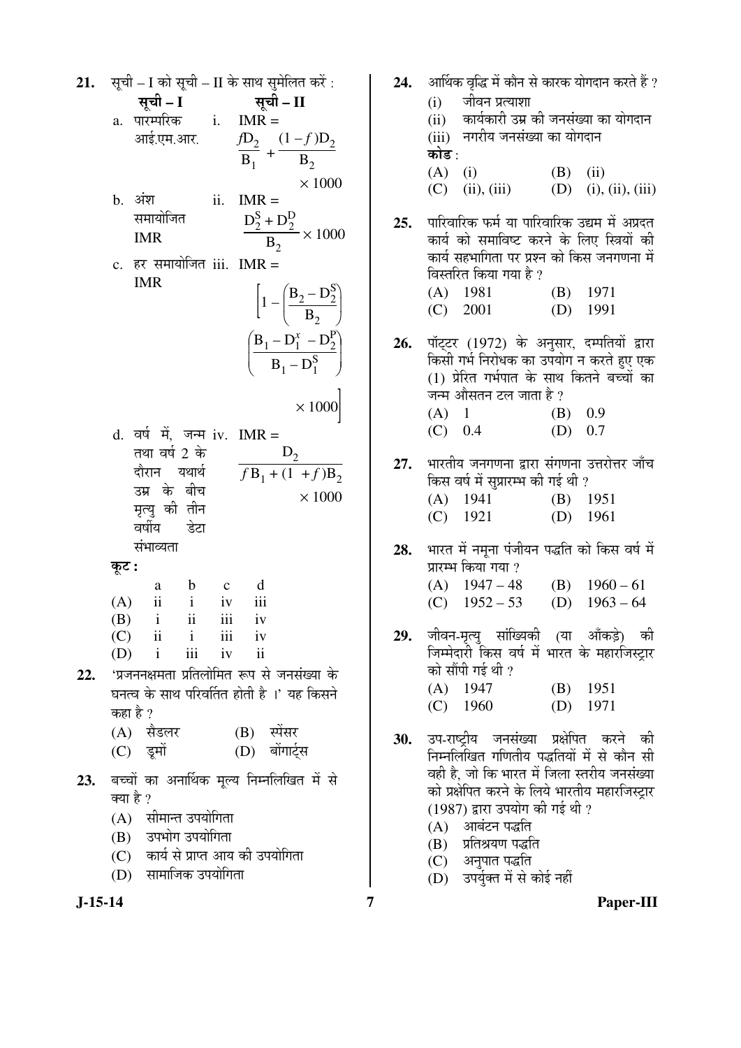सूची – I को सूची – II के साथ सुमेलित करें : आर्थिक वृद्धि में कौन से कारक योगदान करते हैं ?  $21.$ 24. सूची - II सची – I  $(i)$ जीवन प्रत्याशा a.  $\sqrt{\alpha}$  i. IMR = कार्यकारी उम्र की जनसंख्या का योगदान  $(ii)$ (iii) नगरीय जनसंख्या का योगदान  $\frac{fD_2}{B_1} + \frac{(1-f)D_2}{B_2}$ आई.एम.आर. कोड :  $(A)$  (i)  $(B)$  (ii)  $\times 1000$  $(C)$  (ii), (iii)  $(D)$  (i), (ii), (iii) b. अंश ii.  $IMR =$  $\frac{D_2^S + D_2^D}{B_2} \times 1000$ समायोजित पारिवारिक फर्म या पारिवारिक उद्यम में अप्रदत  $25.$ **IMR** कार्य को समाविष्ट करने के लिए स्त्रियों की कार्य सहभागिता पर प्रश्न को किस जनगणना में c. हर समायोजित iii. IMR = विस्तरित किया गया है ? **IMR**  $\left[1-\left(\frac{B_2-D_2^S}{B_2}\right)\right]$  $(A)$  1981  $(B)$  1971  $(C)$  2001  $(D)$  1991  $\left(\frac{B_1 - D_1^x - D_2^P}{B_1 - D_1^S}\right)$ पॉट्टर (1972) के अनुसार, दम्पतियों द्वारा 26. किसी गर्भ निरोधक का उपयोग न करते हए एक (1) प्रेरित गर्भपात के साथ कितने बच्चों का जन्म औसतन टल जाता है ?  $\times 1000$  $(A)$  1  $(B) 0.9$  $(C) 0.4$  $(D) 0.7$ d. वर्ष में, जन्म iv. IMR = तथा वर्ष 2 के  $D_{2}$ भारतीय जनगणना द्वारा संगणना उत्तरोत्तर जाँच 27.  $\frac{1}{fB_1 + (1 + f)B_2}$ दौरान यथार्थ किस वर्ष में सुप्रारम्भ की गई थी ? उम्र के बीच  $\times$  1000  $(A)$  1941  $(B)$  1951 मृत्यु की तीन  $(C)$  1921  $(D)$  1961 वर्षीय डेटा संभाव्यता भारत में नमना पंजीयन पद्धति को किस वर्ष में 28. कूट : प्रारम्भ किया गया ?  $(A)$  1947 – 48 (B)  $1960-61$  $\mathbf b$  $\mathbf{c}$ d a  $(A)$  $\mathbf{ii}$  $\mathbf{i}$  $iv$ iii  $(C)$  1952 – 53 (D)  $1963 - 64$  $ii$ (B)  $\mathbf{i}$  $iii$ iv जीवन-मृत्यु सांख्यिकी (या आँकड़े) की  $(C)$  $\mathbf{ii}$  $\mathbf{i}$  $\overline{111}$ 29.  $iv$ जिम्मेदारी किस वर्ष में भारत के महारजिस्ट्रार (D)  $iv$  $\mathbf{i}$ iii  $\mathbf{ii}$ को सौंपी गई थी ? 'प्रजननक्षमता प्रतिलोमित रूप से जनसंख्या के 22.  $(A)$  1947  $(B)$  1951 घनत्व के साथ परिवर्तित होती है ।' यह किसने  $(D)$  1971  $(C)$  1960 कहा है ? (A) सैडलर  $(B)$  स्पेंसर उप-राष्ट्रीय जनसंख्या प्रक्षेपित करने की 30. (D) बोंगार्टस (C) इमों निम्नलिखित गणितीय पद्धतियों में से कौन सी वही है, जो कि भारत में जिला स्तरीय जनसंख्या 23. बच्चों का अनार्थिक मूल्य निम्नलिखित में से को प्रक्षेपित करने के लिये भारतीय महारजिस्ट्रार क्या है ? (1987) द्वारा उपयोग की गई थी ? (A) सीमान्त उपयोगिता (A) आबंटन पद्धति (B) उपभोग उपयोगिता (B) प्रतिश्रयण पद्धति (C) कार्य से प्राप्त आय की उपयोगिता (C) अनुपात पद्धति (D) सामाजिक उपयोगिता (D) उपर्युक्त में से कोई नहीं  $\overline{7}$ 

 $J-15-14$ 

Paper-III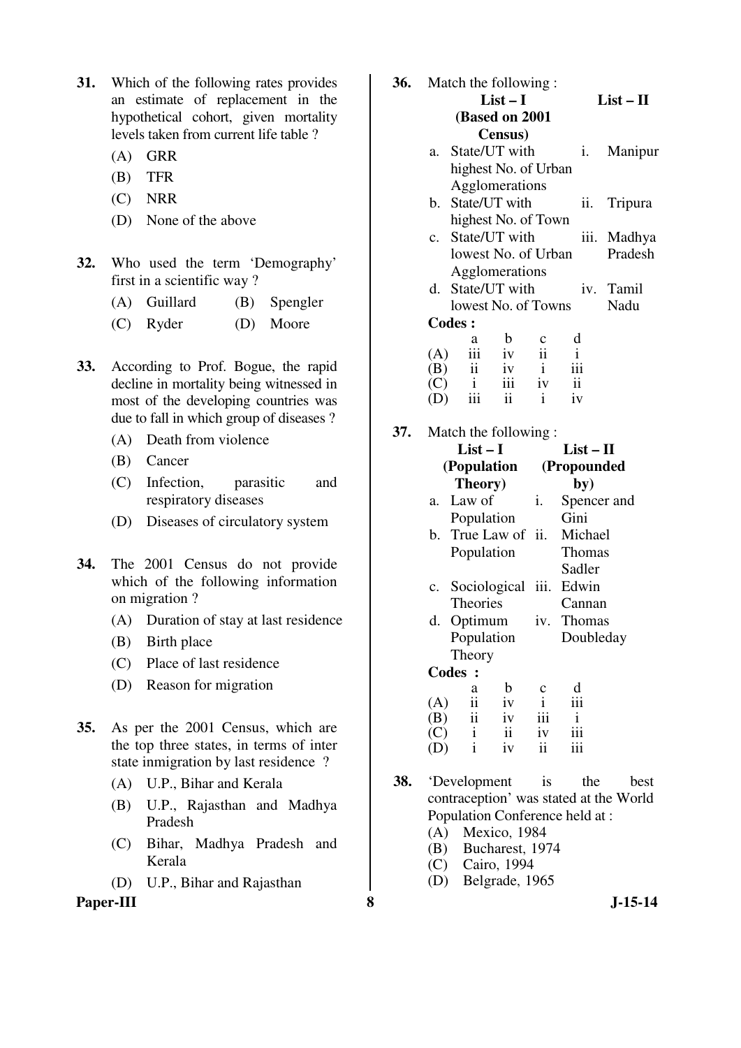- **31.** Which of the following rates provides an estimate of replacement in the hypothetical cohort, given mortality levels taken from current life table ?
	- (A) GRR
	- (B) TFR
	- (C) NRR
	- (D) None of the above
- **32.** Who used the term 'Demography' first in a scientific way ?
	- (A) Guillard (B) Spengler
	- (C) Ryder (D) Moore
- **33.** According to Prof. Bogue, the rapid decline in mortality being witnessed in most of the developing countries was due to fall in which group of diseases ?
	- (A) Death from violence
	- (B) Cancer
	- (C) Infection, parasitic and respiratory diseases
	- (D) Diseases of circulatory system
- **34.** The 2001 Census do not provide which of the following information on migration ?
	- (A) Duration of stay at last residence
	- (B) Birth place
	- (C) Place of last residence
	- (D) Reason for migration
- **35.** As per the 2001 Census, which are the top three states, in terms of inter state inmigration by last residence ?
	- (A) U.P., Bihar and Kerala
	- (B) U.P., Rajasthan and Madhya Pradesh
	- (C) Bihar, Madhya Pradesh and Kerala
	- (D) U.P., Bihar and Rajasthan

Paper-III 8 **8** J-15-14

|     | <b>36.</b> Match the following:                                                                                                                                  |                 |  |                |                             |
|-----|------------------------------------------------------------------------------------------------------------------------------------------------------------------|-----------------|--|----------------|-----------------------------|
|     |                                                                                                                                                                  | $List-I$        |  |                | $List - II$                 |
|     | (Based on 2001                                                                                                                                                   |                 |  |                |                             |
|     |                                                                                                                                                                  | <b>Census</b> ) |  |                |                             |
|     | a. State/UT with                                                                                                                                                 |                 |  | $\mathbf{i}$ . | Manipur                     |
|     | highest No. of Urban                                                                                                                                             |                 |  |                |                             |
|     | Agglomerations                                                                                                                                                   |                 |  |                |                             |
|     | b. State/UT with                                                                                                                                                 |                 |  |                | ii. Tripura                 |
|     | highest No. of Town                                                                                                                                              |                 |  |                |                             |
|     | c. State/UT with                                                                                                                                                 |                 |  |                | iii. Madhya                 |
|     |                                                                                                                                                                  |                 |  |                | lowest No. of Urban Pradesh |
|     | Agglomerations                                                                                                                                                   |                 |  |                |                             |
|     | d. State/UT with iv. Tamil                                                                                                                                       |                 |  |                |                             |
|     | lowest No. of Towns                                                                                                                                              |                 |  |                | Nadu                        |
|     | <b>Codes:</b>                                                                                                                                                    |                 |  |                |                             |
|     | $\begin{array}{ccccccccc} & & a & b & c & d\\ (A) & iii & iv & ii & i\\ (B) & ii & iv & i & iii\\ (C) & i & iii & iv & ii\\ (D) & iii & ii & i & iv \end{array}$ |                 |  |                |                             |
|     |                                                                                                                                                                  |                 |  |                |                             |
|     |                                                                                                                                                                  |                 |  |                |                             |
|     |                                                                                                                                                                  |                 |  |                |                             |
|     |                                                                                                                                                                  |                 |  |                |                             |
| 37. | Match the following :                                                                                                                                            |                 |  |                |                             |
|     | List $-1$                                                                                                                                                        |                 |  | List – H       |                             |

|              | $List-I$      |                 |              | $List-II$               |  |  |
|--------------|---------------|-----------------|--------------|-------------------------|--|--|
|              | (Population   |                 |              | (Propounded             |  |  |
|              | Theory)       |                 |              | by)                     |  |  |
| a.           | Law of        |                 | i.           | Spencer and             |  |  |
|              | Population    |                 |              | Gini                    |  |  |
| b.           |               |                 |              | True Law of ii. Michael |  |  |
|              | Population    |                 |              | Thomas                  |  |  |
|              |               |                 |              | Sadler                  |  |  |
|              |               | c. Sociological | iii.         | Edwin                   |  |  |
|              | Theories      |                 |              | Cannan                  |  |  |
|              | d. Optimum    |                 |              | iv. Thomas              |  |  |
|              | Population    |                 |              | Doubleday               |  |  |
|              | Theory        |                 |              |                         |  |  |
| <b>Codes</b> | $\cdot$       |                 |              |                         |  |  |
|              | a             | b               | с            | d                       |  |  |
| (A)          | $\mathbf{ii}$ | iv              | $\mathbf{i}$ | iii                     |  |  |
| (B)          | ii            | iv              | iii          |                         |  |  |
| (C)          | $\mathbf{i}$  | $\mathbf{ii}$   | iv           |                         |  |  |
|              | $\mathbf{i}$  | iv              | ii           |                         |  |  |

- **38.** 'Development is the best contraception' was stated at the World Population Conference held at :<br>(A) Mexico, 1984
	- Mexico, 1984
	- (B) Bucharest, 1974<br>(C) Cairo, 1994
	- Cairo, 1994
	- (D) Belgrade, 1965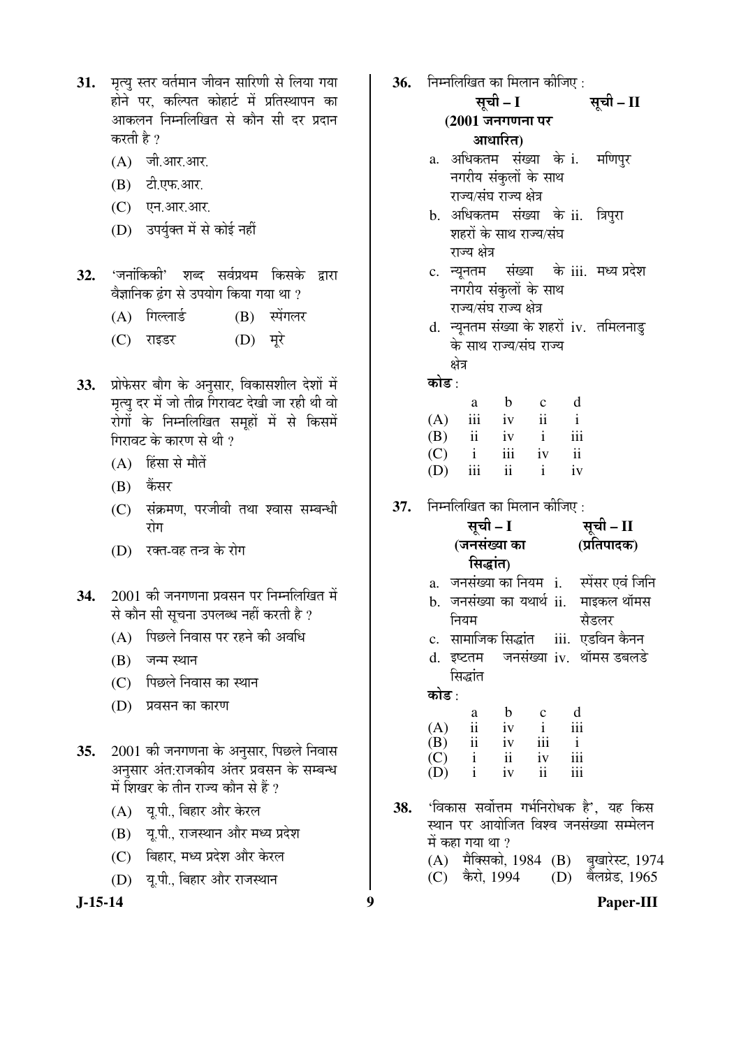- 31. मृत्यू स्तर वर्तमान जीवन सारिणी से लिया गया होने पर. कल्पित कोहार्ट में प्रतिस्थापन का आकलन निम्नलिखित से कौन सी दर प्रदान करती है ?
	- $(A)$  जी.आर.आर.
	- (B) टी.एफ.आर.
	- $(C)$   $\overline{Q}$ न. आर. आर.
	- (D) उपर्युक्त में से कोई नहीं
- **32.** 'जनांकिकी' शब्द सर्वप्रथम किसके द्वारा वैज्ञानिक ढंग से उपयोग किया गया था ?
	- (A) गिल्लार्ड (B) स्पेंगलर
	- (C) राइडर (D) मरे
- 33. प्रोफेसर बौग के अनुसार, विकासशील देशों में मृत्यु दर में जो तीव्र गिरावट देखी जा रही थी वो रोगोँ के निम्नलिखित समूहों में से किसमें गिरावट के कारण से थी ?
	- $(A)$  हिंसा से मौतें
	- $(B)$  कैंसर
	- (C) संक्रमण, परजीवी तथा श्वास सम्बन्धी गोग
	- (D) रक्त-वह तन्त्र के रोग
- 34. 2001 की जनगणना प्रवसन पर निम्नलिखित में से कौन सी सूचना उपलब्ध नहीं करती है ?
	- (A) पिछले निवास पर रहने की अवधि
	- $(B)$  जन्म स्थान
	- (C) पिछले निवास का स्थान
	- (D) प्रवसन का कारण
- 35. 2001 की जनगणना के अनुसार, पिछले निवास अनुसार अंत:राजकीय अंतर प्रवसन के सम्बन्ध में शिखर के तीन राज्य कौन से हैं ?
	- (A) यू.पी., बिहार और केरल
	- (B) यू.पी., राजस्थान और मध्य प्रदेश
	- (C) बिहार, मध्य प्रदेश और केरल
	- (D) य.पी., बिहार और राजस्थान

**36.** निम्नलिखित का मिलान कीजिए : सूची – I **(2001 जनगणना पर** आधारित) सची – II a. अधिकतम संख्या के i. नगरीय संकुलों के साथ राज्य/संघ राज्य क्षेत्र मणिपर b. अधिकतम संख्या के ii. त्रिपुरा शहरों के साथ राज्य/संघ राज्य क्षेत्र c. न्युनतम संख्या नगरीय संकुलों के साथ राज्य/संघ राज्य क्षेत्र के iii. मध्य प्रदेश d. न्यूनतम संख्या के शहरों iv. तमिलनाडु के साथ राज्य/संघ राज्य क्षेत्र कोड : a b c d  $(A)$  iii iv ii i (B) ii iv i iii (C) i iii iv ii (D) iii ii i iv **37.** निम्नलिखित का मिलान कीजिए : सूची – I (जनसंख्या का सिद्धांत) सूची – II (प्रतिपादक) a. जनसंख्या का नियम i. स्पेंसर एवं जिनि b. जनसंख्या का यथार्थ ii. माइकल थॉमस नियम सैडलर<br>iii. एडविन कैनन c. सामाजिक सिद्धांत d. इष्टतम जनसंख्या iv. थॉमस डबलडे सिद्धांत कोड : a b c d  $(A)$  ii iv i iii<br> $(B)$  ii iv iii i (B) ii iv iii i (C) i ii iv iii  $(D)$  i iv ii iii 38. 'विकास सर्वोत्तम गर्भनिरोधक है', यह किस स्थान पर आयोजित विश्व जनसंख्या सम्मेलन में कहा गया था ? (A) मैक्सिको, 1984 (B) बुखारेस्ट, 1974 (C) कैरो, 1994 (D) बैलग्रेड, 1965

**J-15-14 9 Paper-III**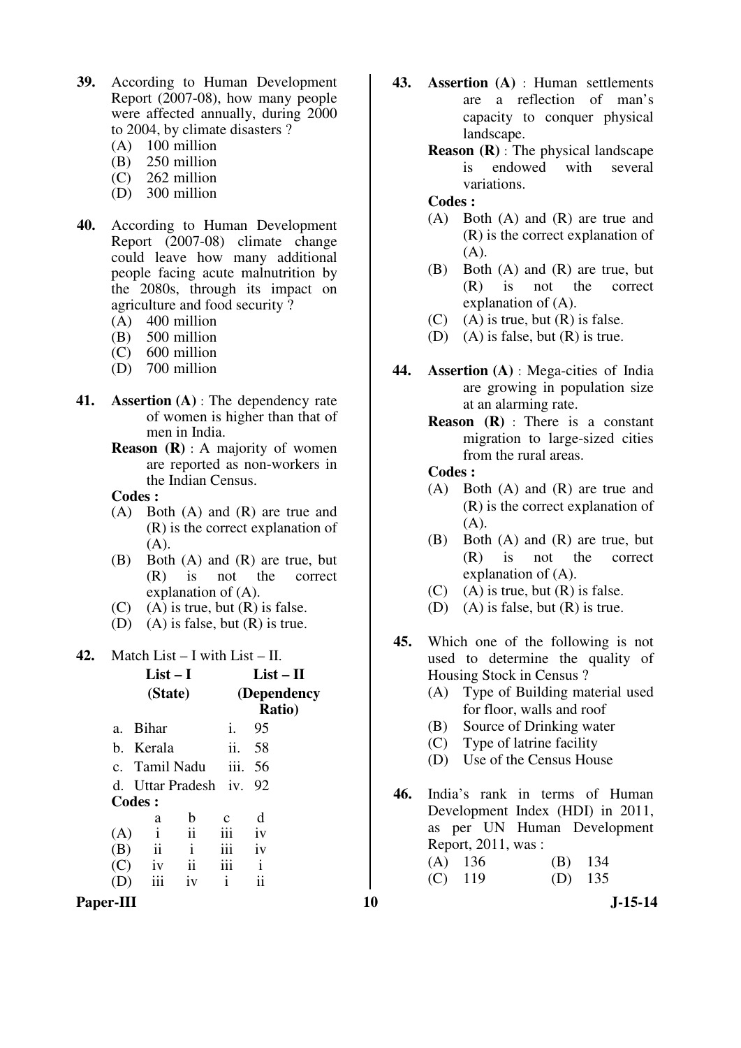- **39.** According to Human Development Report (2007-08), how many people were affected annually, during 2000 to 2004, by climate disasters ?
	- (A)  $100$  million<br>(B)  $250$  million
	- 250 million
	- (C) 262 million
	- (D) 300 million
- **40.** According to Human Development Report (2007-08) climate change could leave how many additional people facing acute malnutrition by the 2080s, through its impact on agriculture and food security ?
	- (A)  $400$  million<br>(B)  $500$  million
	- 500 million
	- (C) 600 million
	- (D) 700 million
- **41. Assertion (A)** : The dependency rate of women is higher than that of men in India.
	- **Reason (R)** : A majority of women are reported as non-workers in the Indian Census.

**Codes :** 

- (A) Both (A) and (R) are true and (R) is the correct explanation of  $(A)$ .
- (B) Both (A) and (R) are true, but (R) is not the correct explanation of (A).
- $(C)$  (A) is true, but  $(R)$  is false.
- (D) (A) is false, but  $(R)$  is true.

**42.** Match List – I with List – II.

|     |               | $List-I$<br>(State)  |      | $List - II$<br>(Dependency<br><b>Ratio</b> ) |  |
|-----|---------------|----------------------|------|----------------------------------------------|--|
|     | a. Bihar      |                      | İ.   | 95                                           |  |
|     | b. Kerala     |                      | ii.  | 58                                           |  |
|     |               | c. Tamil Nadu        | iii. | 56                                           |  |
|     |               | d. Uttar Pradesh iv. |      | 92                                           |  |
|     | Codes:        |                      |      |                                              |  |
|     | a             | b                    | c    | d                                            |  |
| (A) | $\mathbf{i}$  | ii                   | iii  | iv                                           |  |
| (B) | $\mathbf{ii}$ | $\mathbf{i}$         | iii  | iv                                           |  |
| (C) | iv            | $\mathbf{ii}$        | 111  | i                                            |  |
|     | iii           | 1V                   | 1    | 11                                           |  |
|     |               |                      |      |                                              |  |



- **43. Assertion (A)** : Human settlements are a reflection of man's capacity to conquer physical landscape.
	- **Reason (R)** : The physical landscape is endowed with several variations.

### **Codes :**

- (A) Both (A) and (R) are true and (R) is the correct explanation of  $(A)$ .
- (B) Both (A) and (R) are true, but (R) is not the correct explanation of (A).
- $(C)$  (A) is true, but  $(R)$  is false.
- (D) (A) is false, but  $(R)$  is true.
- **44. Assertion (A)** : Mega-cities of India are growing in population size at an alarming rate.
	- **Reason (R)** : There is a constant migration to large-sized cities from the rural areas.

- (A) Both (A) and (R) are true and (R) is the correct explanation of (A).
- (B) Both (A) and (R) are true, but (R) is not the correct explanation of (A).
- $(C)$  (A) is true, but  $(R)$  is false.
- (D) (A) is false, but (R) is true.
- **45.** Which one of the following is not used to determine the quality of Housing Stock in Census ?
	- (A) Type of Building material used for floor, walls and roof
	- (B) Source of Drinking water
	- (C) Type of latrine facility
	- (D) Use of the Census House
- **46.** India's rank in terms of Human Development Index (HDI) in 2011, as per UN Human Development Report, 2011, was :

| $(A)$ 136 | $(B)$ 134 |  |
|-----------|-----------|--|
| $(C)$ 119 | $(D)$ 135 |  |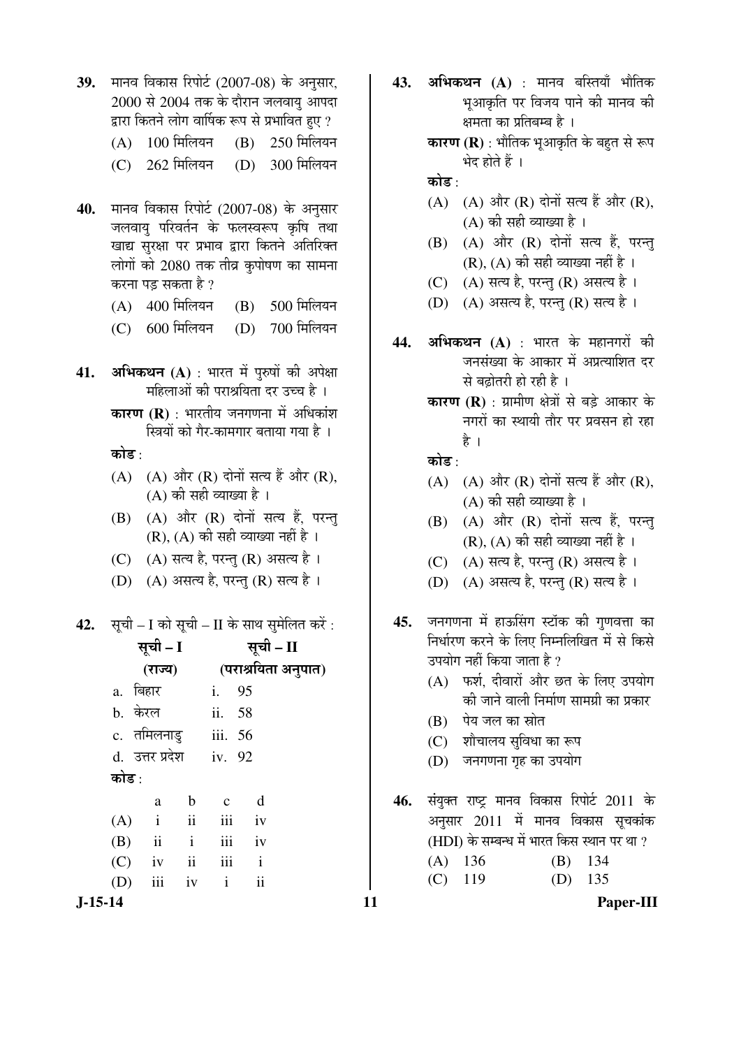- 39. मानव विकास रिपोर्ट (2007-08) के अनुसार,  $2000$  से  $2004$  तक के दौरान जलवायु आपदा द्वारा कितने लोग वार्षिक रूप से प्रभावित हुए ?
	- $(A)$  100 मिलियन  $(B)$  250 मिलियन
	- (C) 262 मिलियन (D) 300 मिलियन
- 40. मानव विकास रिपोर्ट (2007-08) के अनुसार जलवाय परिवर्तन के फलस्वरूप कृषि तथा खाद्य सुरक्षा पर प्रभाव द्वारा कितने अतिरिक्त लोगों को 2080 तक तीव्र कृपोषण का सामना करना पड़ सकता है ?
	- $(A)$  400 मिलियन  $(B)$  500 मिलियन
	- (C) 600 मिलियन (D) 700 मिलियन
- **41. अभिकथन (A)** : भारत में पुरुषों की अपेक्षा महिलाओं की पराश्रयिता दर उच्च है ।
	- **कारण (R)** : भारतीय जनगणना में अधिकांश स्त्रियों को गैर-कामगार बताया गया है ।

कोड :

- $(A)$   $(A)$  और  $(R)$  दोनों सत्य हैं और  $(R)$ ,  $(A)$  की सही व्याख्या है।
- $(B)$   $(A)$  और  $(R)$  दोनों सत्य हैं, परन्तु  $(R)$ ,  $(A)$  की सही व्याख्या नहीं है ।
- (C) (A) सत्य है, परन्तु (R) असत्य है।
- (D) (A) असत्य है, परन्तु (R) सत्य है।
- **42.** सूची I को सूची II के साथ सुमेलित करें :

| सूची - I<br>(राज्य)<br>a. बिहार<br>b. केरल<br>c. तमिलनाडु<br>d. उत्तर प्रदेश<br>कोड :                                                                        | सूची – II<br>(पराश्रयिता अनुपात)<br>i.<br>95<br>ii. 58<br>iii. 56<br>iv. 92                                   | निर्धारण करने के लिए निम्नलिखित में से किसे<br>उपयोग नहीं किया जाता है ?<br>(A) फर्श, दीवारों और छत के लिए उपयोग<br>की जाने वाली निर्माण सामग्री का प्रकार<br>पेय जल का स्रोत<br>(B)<br>शौचालय सुविधा का रूप<br>(C)<br>जनगणना गृह का उपयोग<br>(D) |
|--------------------------------------------------------------------------------------------------------------------------------------------------------------|---------------------------------------------------------------------------------------------------------------|---------------------------------------------------------------------------------------------------------------------------------------------------------------------------------------------------------------------------------------------------|
| $\mathbf b$<br>a<br>$\mathbf{ii}$<br>$\mathbf{i}$<br>(A)<br>$\mathbf{ii}$<br>$\mathbf{i}$<br>(B)<br>$\overline{\mathbf{u}}$<br>(C)<br>iv<br>iii<br>iv<br>(D) | d<br>$\mathbf{C}$<br>iii<br>iv<br>iii<br>iv<br>iii<br>$\mathbf{i}$<br>$\overline{\mathbf{u}}$<br>$\mathbf{i}$ | संयुक्त राष्ट्र मानव विकास रिपोर्ट 2011 के<br>46.<br>अनुसार 2011 में मानव विकास सूचकांक<br>(HDI) के सम्बन्ध में भारत किस स्थान पर था ?<br>$(A)$ 136<br>(B)<br>134<br>135<br>119<br>(C)<br>(D)                                                     |
| J-15-14                                                                                                                                                      |                                                                                                               | Paper-III                                                                                                                                                                                                                                         |

**43. अभिकथन (A)** : मानव बस्तियाँ भौतिक भआकृति पर विजय पाने की मानव की क्षमता का प्रतिबम्ब है ।

> **कारण (R)** : भौतिक भूआकृति के बहुत से रूप भेद होते हैं ।

कोड :

- (A)  $(A)$  और (R) दोनों सत्य हैं और (R),  $(A)$  की सही व्याख्या है।
- $(B)$   $(A)$  और  $(R)$  दोनों सत्य हैं, परन्तु  $(R)$ ,  $(A)$  की सही व्याख्या नहीं है ।
- (C)  $(A)$  सत्य है, परन्तु (R) असत्य है।
- (D) (A) असत्य है, परन्तु (R) सत्य है।
- 44. **अभिकथन (A)** : भारत के महानगरों की जनसंख्या के आकार में अप्रत्याशित दर से बढ़ोतरी हो रही है।
	- **कारण (R)** : ग्रामीण क्षेत्रों से बडे आकार के <u>नगरों का स्थायी तौर पर प्रवसन हो रहा</u> है ।

कोड $\cdot$ 

- $(A)$   $(A)$  और  $(R)$  दोनों सत्य हैं और  $(R)$ ,  $(A)$  की सही व्याख्या है ।
- $(B)$   $(A)$  और  $(R)$  दोनों सत्य हैं, परन्तु  $(R)$ ,  $(A)$  की सही व्याख्या नहीं है।
- $(C)$   $(A)$  सत्य है, परन्तु  $(R)$  असत्य है ।
- $(D)$   $(A)$  असत्य है, परन्तु  $(R)$  सत्य है।
- 45. जनगणना में हाऊसिंग स्टॉक की गुणवत्ता का निर्धारण करने के लिए निम्नलिखित में से किसे उपयोग नहीं किया जाता है ?
	- $(A)$  फर्श, दीवारों और छत के लिए उपयोग की जाने वाली निर्माण सामग्री का प्रकार
	- (B) पेय जल का स्रोत
	- (C) शौचालय सुविधा का रूप
	- (D) जनगणना गृह का उपयोग
- 46. संयुक्त राष्ट्र मानव विकास रिपोर्ट 2011 के अनुसार 2011 में मानव विकास सूचकांक (HDI) के सम्बन्ध में भारत किस स्थान पर था ?

|           | $(A)$ 136 | $(B)$ 134 |  |
|-----------|-----------|-----------|--|
| $(C)$ 119 |           | $(D)$ 135 |  |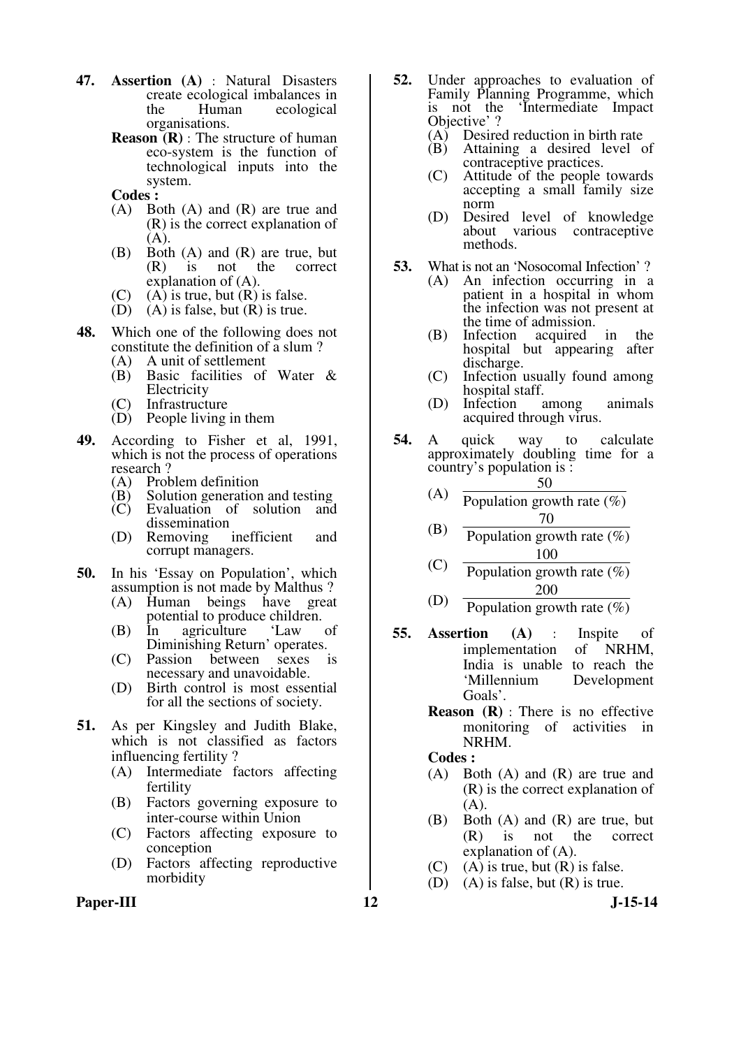- **47. Assertion (A)** : Natural Disasters create ecological imbalances in the Human ecological organisations.
	- **Reason (R)** : The structure of human eco-system is the function of technological inputs into the system.

**Codes :** 

- (A) Both (A) and (R) are true and (R) is the correct explanation of (A).
- (B) Both (A) and (R) are true, but<br>(R) is not the correct is not the correct explanation of (A).
- (C) (A) is true, but  $(R)$  is false.<br>(D) (A) is false, but  $(R)$  is true.
- $(A)$  is false, but  $(R)$  is true.
- **48.** Which one of the following does not constitute the definition of a slum ?
	- (A) A unit of settlement<br>(B) Basic facilities of
	- Basic facilities of Water & **Electricity**
	- (C) Infrastructure
	- (D) People living in them
- **49.** According to Fisher et al, 1991, which is not the process of operations research?<br>(A) Prob
	- (A) Problem definition<br>(B) Solution generation
	- (B) Solution generation and testing<br>(C) Evaluation of solution and
	- Evaluation of solution dissemination<br>Removing inefficient
	- (D) Removing inefficient and corrupt managers.
- **50.** In his 'Essay on Population', which assumption is not made by Malthus ?
	- (A) Human beings have great potential to produce children.<br>In agriculture 'Law of
	- $(B)$  In agriculture Diminishing Return' operates.<br>Passion between sexes i
	- (C) Passion between sexes is necessary and unavoidable.
	- (D) Birth control is most essential for all the sections of society.
- **51.** As per Kingsley and Judith Blake, which is not classified as factors influencing fertility?<br>(A) Intermediate fa
	- Intermediate factors affecting fertility
	- (B) Factors governing exposure to inter-course within Union
	- (C) Factors affecting exposure to conception
	- (D) Factors affecting reproductive morbidity
- Paper-III **12** J-15-14
- **52.** Under approaches to evaluation of Family Planning Programme, which<br>is not the 'Intermediate Impact 'Intermediate Impact Objective' ?
	- (A) Desired reduction in birth rate
	- (B) Attaining a desired level of contraceptive practices.
	- (C) Attitude of the people towards accepting a small family size norm
	- (D) Desired level of knowledge about various contraceptive methods.
- **53.** What is not an 'Nosocomal Infection' ?
	- (A) An infection occurring in a patient in a hospital in whom the infection was not present at the time of admission.
	- (B) Infection acquired in the hospital but appearing after discharge.
	- (C) Infection usually found among hospital staff.<br>Infection among
	- (D) Infection among animals acquired through virus.
- **54.** A quick way to calculate approximately doubling time for a country's population is :
	- (A) 50 Population growth rate (%) 70
	- (B) Population growth rate  $(\%)$ 100
	- (C) Population growth rate  $(\% )$  (D) 200
		- Population growth rate  $(\% )$
- **55. Assertion (A)** : Inspite of implementation of NRHM, India is unable to reach the 'Millennium Development Goals'.
	- **Reason (R)** : There is no effective monitoring of activities in NRHM.

- (A) Both (A) and (R) are true and (R) is the correct explanation of  $(A)$ .
- (B) Both (A) and (R) are true, but (R) is not the correct explanation of (A).
- $(C)$  (A) is true, but  $(R)$  is false.
- (D) (A) is false, but  $(R)$  is true.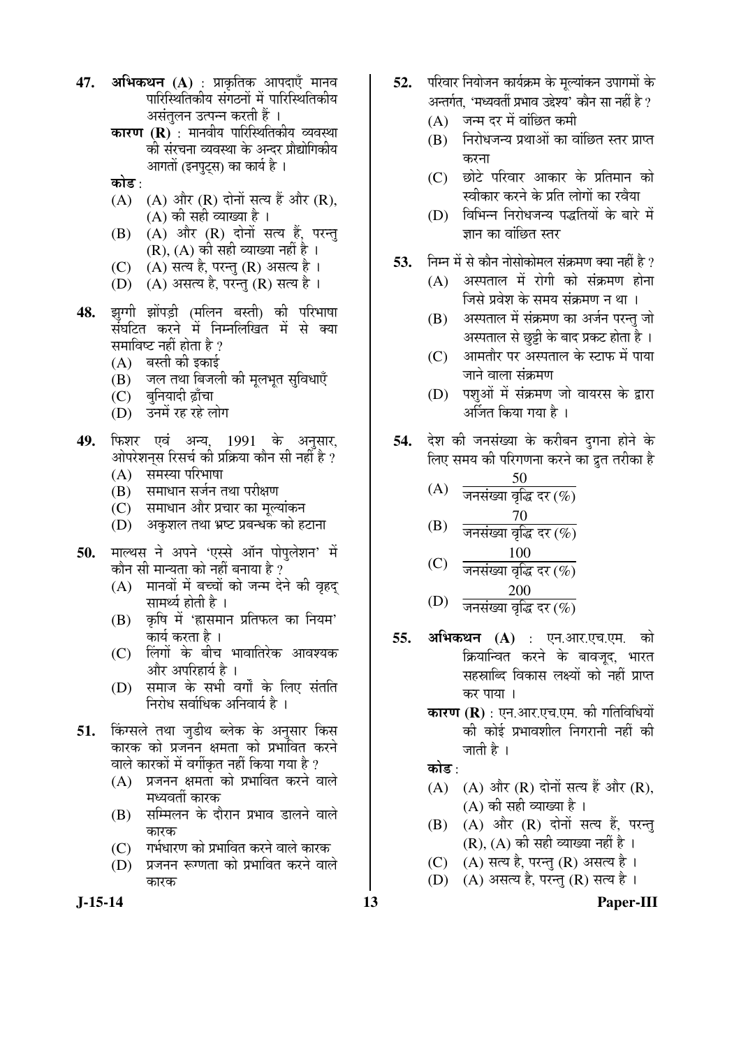- **47. अभिकथन (A)** : प्राकृतिक आपदाएँ मानव पारिस्थितिकीय संगठनों में पारिस्थितिकीय असंतुलन उत्पन्न करती हैं ।
	- **कारण (R)** : मानवीय पारिस्थितिकीय व्यवस्था की संरचना व्यवस्था के अन्दर प्रौद्योगिकीय आगतों (इनपटस) का कार्य है ।
	- कोड :
	- $(A)$   $(A)$  और  $(R)$  दोनों सत्य हैं और  $(R)$ ,  $(A)$  की सही व्याख्या है।
	- $(B)$   $(A)$  और  $(R)$  दोनों सत्य हैं, परन्तु  $(R)$ ,  $(A)$  की सही व्याख्या नहीं है ।
	- $(C)$   $(A)$  सत्य है, परन्तु  $(R)$  असत्य है ।
	- (D) (A) असत्य है, परन्तु (R) सत्य है।
- **48.** झुग्गी झोंपड़ी (मलिन बस्ती) की परिभाषा सॅघटित करने में निम्नलिखित में से क्या समाविष्ट नहीं होता है ?
	- $(A)$  बस्ती की इकाई
	- $(B)$  जल तथा बिजली की मृलभृत सुविधाएँ
	- (C) बनियादी ढ़ाँचा
	- (D) उनमें रह रहे लोग
- 49. फिशर एवं अन्य, 1991 के अनुसार, ओपरेशनस रिसर्च की प्रक्रिया कौन सी नहीं है ?
	- $(A)$  समस्या परिभाषा
	- (B) समाधान सर्जन तथा परीक्षण
	- (C) समाधान और प्रचार का मूल्यांकन
	- $(D)$  । अकुशल तथा भ्रष्ट प्रबन्धक को हटाना
- 50. माल्थस ने अपने 'एस्से ऑन पोपलेशन' में कौन सी मान्यता को नहीं बनाया है ?
	- $(A)$  मानवों में बच्चों को जन्म देने की वृहद सामर्थ्य होती है ।
	- $(B)$  कृषि में 'ह्रासमान प्रतिफल का नियम' कार्य करता है ।
	- (C) लिंगों के बीच भावातिरेक आवश्यक और अपरिहार्य है ।
	- (D) समाज के सभी वर्गों के लिए संतति निरोध सर्वाधिक अनिवार्य है ।
- 51. किंग्सले तथा जुडीथ ब्लेक के अनुसार किस कारक को प्रजनन क्षमता को प्रभावित करने वाले कारकों में वर्गीकृत नहीं किया गया है ?
	- $(A)$  प्रजनन क्षमता को प्रभावित करने वाले मध्यवर्ती कारक
	- (B) सम्मिलन के दौरान प्रभाव डालने वाले कारक
	- (C) गर्भधारण को प्रभावित करने वाले कारक
	- (D) प्रजनन रूग्णता को प्रभावित करने वाले कारक
- 52. परिवार नियोजन कार्यक्रम के मल्यांकन उपागमों के अन्तर्गत, 'मध्यवर्ती प्रभाव उद्देश्य' कौन सा नहीं है ?
	- $(A)$  जन्म दर में वांछित कमी
	- (B) निरोधजन्य प्रथाओं का वांछित स्तर प्राप्त करना
	- $(C)$  छोटे परिवार आकार के प्रतिमान को स्वीकार करने के प्रति लोगों का रवैया
	- (D) विभिन्न निरोधजन्य पद्धतियों के बारे में जान का वांछित स्तर
- 53. निम्न में से कौन नोसोकोमल संक्रमण क्या नहीं है ?
	- $(A)$  अस्पताल में रोगी को संक्रमण होना जिसे प्रवेश के समय संक्रमण न था ।
	- (B) अस्पताल में संक्रमण का अर्जन परन्तु जो अस्पताल से छूट्टी के बाद प्रकट होता है ।
	- $(C)$  आमतौर पर अस्पताल के स्टाफ में पाया जाने वाला संक्रमण
	- (D) पशुओं में संक्रमण जो वायरस के द्वारा अर्जित किया गया है ।
- **54.** देश की जनसंख्या के करीबन दुगना होने के लिए समय की परिगणना करने का द्रुत तरीका है
	- (A) 50 जनसंख्या वृद्धि दर  $(\%)$
	- (B) 70 जनसंख्या वृद्धि दर $(%)$ 100
	- (C) जनसंख्या वृद्धि दर $(%)$ 200
	- (D) जनसंख्या वृद्धि दर $(%)$
- **55. अभिकथन (A)** : एन.आर.एच.एम. को क्रियान्वित करने के बावजूद, भारत सहस्राब्दि विकास लक्ष्यों को नहीं प्राप्त कर पाया ।
	- **कारण (R)** : एन.आर.एच.एम. की गतिविधियों की कोई प्रभावशील निगरानी नहीं क<mark>ी</mark> जाती है ।

कोड :

- $(A)$   $(A)$  और  $(R)$  दोनों सत्य हैं और  $(R)$ , (A) की सही व्याख्या है ।
- $(B)$   $(A)$  और  $(R)$  दोनों सत्य हैं. परन्त (R), (A) की सही व्याख्या नहीं है ।
- $(C)$   $(A)$  सत्य है, परन्तु  $(R)$  असत्य है।
- (D)  $(A)$  असत्य है, परन्त (R) सत्य है।

**J-15-14 13 Paper-III**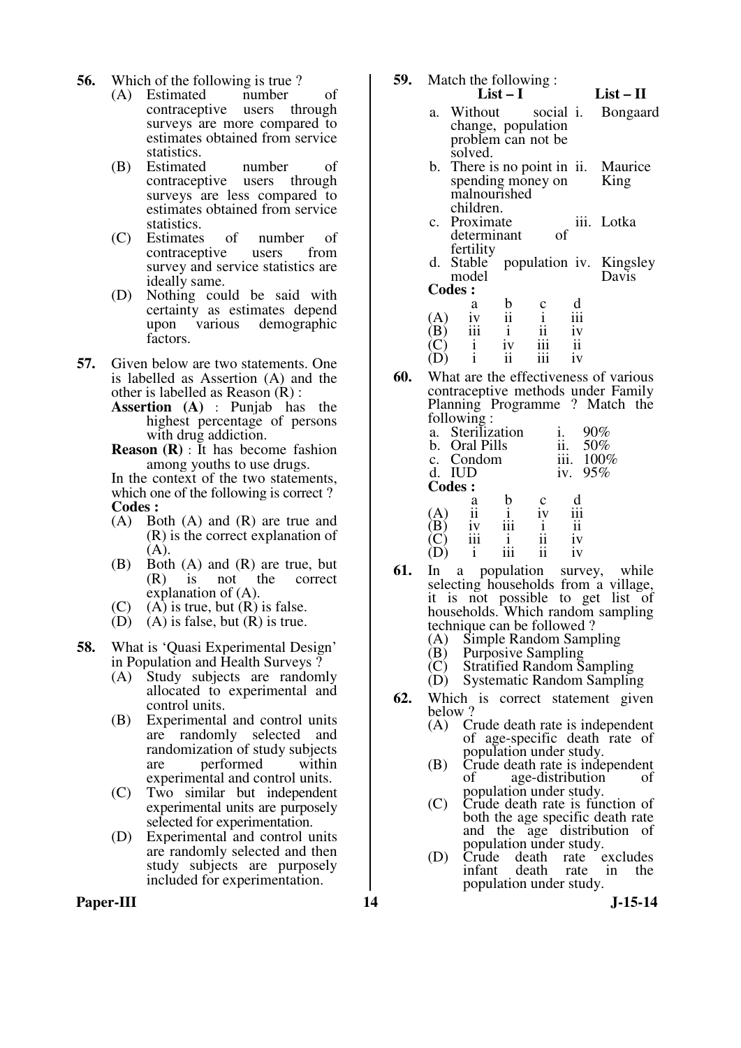- **56.** Which of the following is true ?<br>(A) Estimated number
	- (A) Estimated number of contraceptive users through surveys are more compared to estimates obtained from service statistics.
	- (B) Estimated number of contraceptive users through surveys are less compared to estimates obtained from service statistics.
	- (C) Estimates of number of contraceptive survey and service statistics are ideally same.
	- (D) Nothing could be said with certainty as estimates depend upon various demographic factors.
- **57.** Given below are two statements. One is labelled as Assertion (A) and the other is labelled as Reason (R) :
	- **Assertion (A)** : Punjab has the highest percentage of persons with drug addiction.
	- **Reason (R)** : It has become fashion among youths to use drugs.

 In the context of the two statements, which one of the following is correct ? **Codes :** 

- (A) Both (A) and (R) are true and (R) is the correct explanation of  $(A).$
- (B) Both (A) and (R) are true, but (R) is not the correct explanation of (A).
- (C) (A) is true, but (R) is false.<br>(D) (A) is false, but (R) is true.
- $(A)$  is false, but  $(R)$  is true.

**58.** What is 'Quasi Experimental Design'

- in Population and Health Surveys ?<br>(A) Study subjects are random Study subjects are randomly allocated to experimental and control units.
- (B) Experimental and control units are randomly selected and randomization of study subjects are performed within experimental and control units.
- (C) Two similar but independent experimental units are purposely selected for experimentation.
- (D) Experimental and control units are randomly selected and then study subjects are purposely included for experimentation.

Paper-III **14** J-15-14

- **59.** Match the following : **List – I List – II**
	- a. Without social i. change, population problem can not be solved. i. Bongaard b. There is no point in ii. spending money on malnourished children. Maurice King
	- c. Proximate determinant of fertility iii. Lotka
	- d. Stable model population iv. Kingsley Davis **Codes :**

|     | a   | h       | Ċ   | d       |
|-----|-----|---------|-----|---------|
| (A) | 1V  | 11      |     | 111     |
| (B) | 111 | ٠       | 11  | ٠<br>1V |
|     |     | ٠<br>1V | 111 | 11      |
|     |     | 11      | 111 | 1V      |

**60.** What are the effectiveness of various contraceptive methods under Family Planning Programme ? Match the following :

| a. | Sterilization |   |                 | 90%  |
|----|---------------|---|-----------------|------|
| b. | Oral Pills    |   |                 | 50%  |
| c. | Condom        |   |                 | 100% |
| d. | <b>IUD</b>    |   | 1V <sub>1</sub> | 95%  |
|    | <b>Codes:</b> |   |                 |      |
|    | a             | Ċ |                 |      |
|    |               |   |                 |      |
| ь  |               |   |                 |      |
|    |               |   | 1 V             |      |
|    |               |   |                 |      |

- **61.** In a population survey, while selecting households from a village, it is not possible to get list of households. Which random sampling technique can be followed ?<br>(A) Simple Random Samp
	- (A) Simple Random Sampling
	- (B) Purposive Sampling<br>(C) Stratified Random S
	- (C) Stratified Random Sampling
	- Systematic Random Sampling
- **62.** Which is correct statement given below ?
	- (A) Crude death rate is independent of age-specific death rate of population under study.
	- (B) Crude death rate is independent<br>of age-distribution of age-distribution population under study.
	- (C) Crude death rate is function of both the age specific death rate and the age distribution of population under study.
	- (D) Crude death rate excludes<br>infant death rate in the death rate population under study.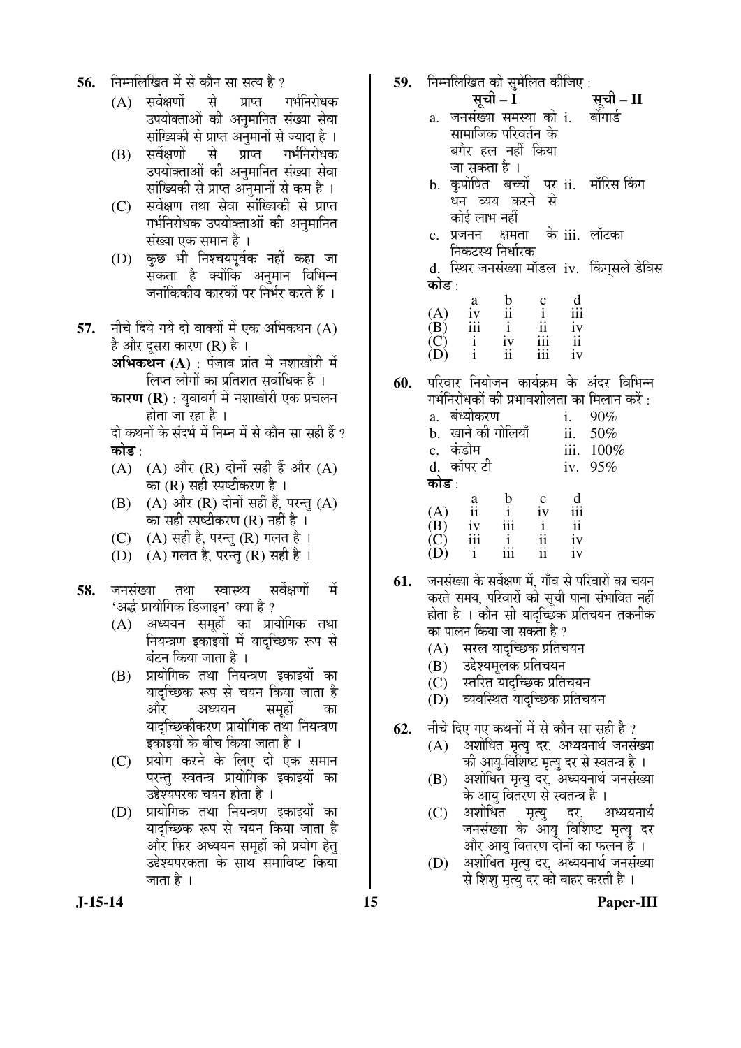- निम्नलिखित में से कौन सा सत्य है ? 56.
	- $(A)$  सर्वेक्षणों से प्राप्त गर्भनिरोधक उपयोक्ताओं की अनुमानित संख्या सेवा सांख्यिकी से प्राप्त अनुमानों से ज्यादा है ।
	- सर्वेक्षणों से प्राप्त गर्भनिरोधक (B) उपयोक्ताओं की अनुमानित संख्या सेवा सांख्यिकी से प्राप्त अनुमानों से कम है ।
	- सर्वेक्षण तथा सेवा सांख्यिकी से प्राप्त  $(C)$ गर्भनिरोधक उपयोक्ताओं की अनुमानित संख्या एक समान है ।
	- कुछ भी निश्चयपूर्वक नहीं कहा जा  $(D)$ सकता है क्योंकि अनुमान विभिन्न जनांकिकीय कारकों पर निर्भर करते हैं ।
- नीचे दिये गये दो वाक्यों में एक अभिकथन (A) 57. है और दुसरा कारण (R) है।
	- अभिकथन (A) : पंजाब प्रांत में नशाखोरी में लिप्त लोगों का प्रतिशत सर्वाधिक है ।
	- कारण (R) : युवावर्ग में नशाखोरी एक प्रचलन होता जा रहा है ।
	- दो कथनों के संदर्भ में निम्न में से कौन सा सही हैं ?
	- $(A)$   $(A)$  और  $(R)$  दोनों सही हैं और  $(A)$ का (R) सही स्पष्टीकरण है ।
	- (A) और (R) दोनों सही हैं, परन्तु (A) (B) का सही स्पष्टीकरण (R) नहीं है ।
	- (A) सही है, परन्तु (R) गलत है।  $(C)$
	- (A) गलत है, परन्तु (R) सही है ।  $(D)$
- सर्वेक्षणों जनसंख्या तथा स्वास्थ्य ਸੇਂ 58. 'अर्द्ध प्रायोगिक डिजाइन' क्या है ?
	- (A) अध्ययन समहों का प्रायोगिक तथा नियन्त्रण इकाइयों में यादच्छिक रूप से बंटन किया जाता है ।
	- प्रायोगिक तथा नियन्त्रण इकाइयों का  $(B)$ यादच्छिक रूप से चयन किया जाता है और अध्ययन समुहो का यादच्छिकीकरण प्रायोगिक तथा नियन्त्रण डकांडयों के बीच किया जाता है ।
	- प्रयोग करने के लिए दो एक समान  $(C)$ परन्त स्वतन्त्र प्रायोगिक इकाइयों का उद्देश्यपरक चयन होता है ।
	- प्रायोगिक तथा नियन्त्रण इकाइयों का  $(D)$ यादच्छिक रूप से चयन किया जाता है और फिर अध्ययन समहों को प्रयोग हेत् उद्देश्यपरकता के साथ समाविष्ट किया जाता है ।
- 59. निम्नलिखित को सुमेलित कीजिए : सूची – I सची – II a. जनसंख्या समस्या को i. बोंगार्ड सामाजिक परिवर्तन के बगैर हल नहीं किया जा सकता है । b. कृपोषित बच्चों पर ii. मॉरिस किंग धन व्यय करने से कोई लाभ नहीं के iii. लॉटका c. प्रजनन क्षमता निकटस्थ निर्धारक d. स्थिर जनसंख्या मॉडल iv. किंगसले डेविस कोड :  $\frac{c}{i}$  $\mathbf b$  $\mathbf{d}$ a  $(A)$ iii  $iv$  $\overline{\mathbf{u}}$ (B) iii  $\mathbf{i}$  $\mathbf{ii}$ iv  $\overline{(\begin{matrix} C \\ D \end{matrix})}$  $\frac{i}{i}$  $iv$ iii  $\overline{\mathbf{u}}$ ii iii iv परिवार नियोजन कार्यक्रम के अंदर विभिन्न 60.
	- गर्भनिरोधकों की प्रभावशीलता का मिलान करें : a. बंध्यीकरण  $\mathbf{i}$ .  $90%$ b. खाने की गोलियाँ  $ii.$ 50% c. कंडोम iii. 100% d. कॉपर टी iv. 95% कोड :  $\mathbf b$  $\mathbf{c}$  $\mathbf d$ a  $iv$  $(A)$ iii  $\mathbf{ii}$  $\mathbf{i}$ (B)  $iv$ iii  $\mathbf{i}$  $\overline{\mathbf{1}}$  $\vec{C}$ iii  $\mathbf{i}$ ii  $iv$  $(D)$ iii  $\mathbf{i}$  $\mathbf{ii}$  $iv$
- जनसंख्या के सर्वेक्षण में, गाँव से परिवारों का चयन 61. करते समय. परिवारों की सूची पाना संभावित नहीं होता है । कौन सी यादच्छिक प्रतिचयन तकनीक का पालन किया जा सकता है ?
	- (A) सरल यादच्छिक प्रतिचयन
	- उद्देश्यमुलक प्रतिचयन (B)
	- स्तरित यादच्छिक प्रतिचयन  $(C)$
	- (D) व्यवस्थित यादच्छिक प्रतिचयन
- नीचे दिए गए कथनों में से कौन सा सही है ? 62.
	- (A) अशोधित मृत्यु दर, अध्ययनार्थ जनसंख्या की आयु-विशिष्ट मृत्यु दर से स्वतन्त्र है ।
	- अशोधित मृत्यु दर, अध्ययनार्थ जनसंख्या (B) के आयु वितरण से स्वतन्त्र है।
	- $(C)$ अशोधित अध्ययनार्थ मृत्यु दर. जनसंख्या के आयु विशिष्ट मृत्यु दर और आयु वितरण दोनों का फलन है ।
	- अशोधित मृत्यु दर, अध्ययनार्थ जनसंख्या (D) से शिश मृत्यु दर को बाहर करती है।

 $J-15-14$ 

Paper-III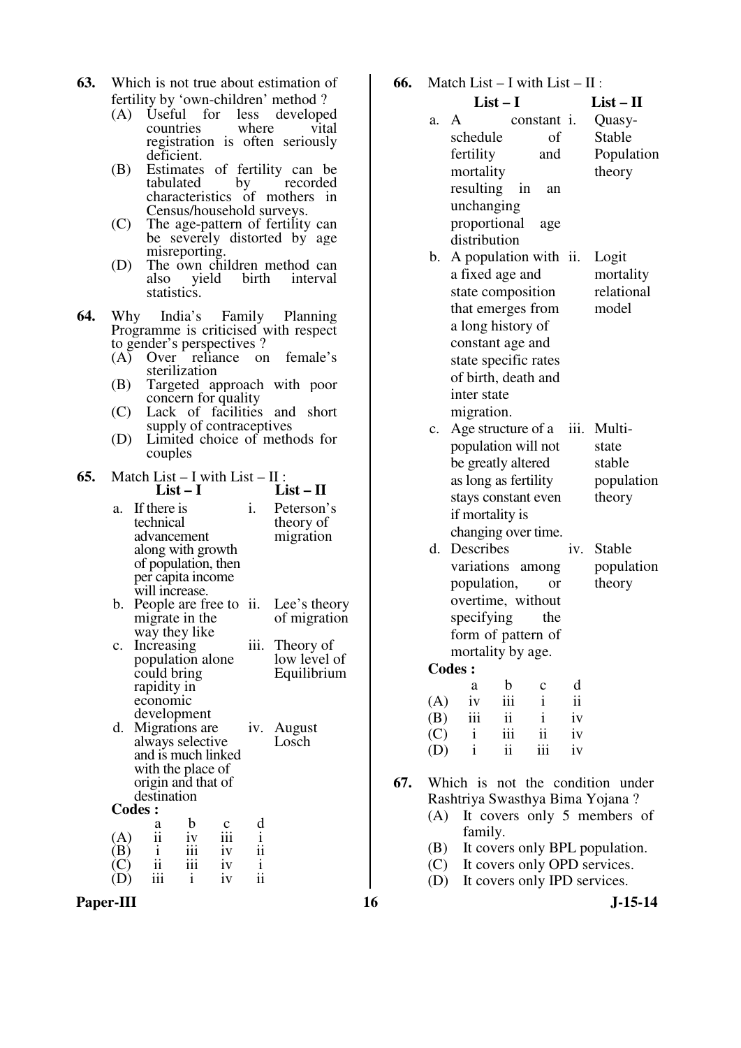- **63.** Which is not true about estimation of fertility by 'own-children' method ?<br>(A) Useful for less developed
	- (A) Useful for less developed<br>countries where vital countries registration is often seriously deficient.
	- (B) Estimates of fertility can be tabulated by recorded tabulated characteristics of mothers in Census/household surveys.
	- (C) The age-pattern of fertility can be severely distorted by age misreporting.
	- (D) The own children method can<br>also yield birth interval interval statistics.
- **64.** Why India's Family Planning Programme is criticised with respect to gender's perspectives ?
	- (A) Over reliance on female's sterilization
	- (B) Targeted approach with poor concern for quality
	- (C) Lack of facilities and short supply of contraceptives
	- (D) Limited choice of methods for couples

**65.** Match List – I with List – II :<br>List – I **List – I List – II**

|                   |                                                                                                                                                    | LI31 – 1         |                 |                                              | LIJU -<br>- 11                                |
|-------------------|----------------------------------------------------------------------------------------------------------------------------------------------------|------------------|-----------------|----------------------------------------------|-----------------------------------------------|
| a.                | If there is<br>technical<br>advancement<br>along with growth<br>of population, then<br>per capita income                                           |                  |                 | i.                                           | Peterson's<br>theory of<br>migration          |
| b.                | will increase.<br>People are free to ii.<br>migrate in the<br>way they like                                                                        |                  |                 |                                              | Lee's theory<br>of migration                  |
| c.                | Increasing<br>population alone<br>could bring<br>rapidity in<br>economic                                                                           |                  |                 |                                              | iii. Theory of<br>low level of<br>Equilibrium |
| d.                | development<br>Migrations are<br>always selective<br>and is much linked<br>with the place of<br>origin and that of<br>destination<br><b>Codes:</b> |                  |                 |                                              | iv. August<br>Losch                           |
|                   |                                                                                                                                                    |                  |                 |                                              |                                               |
|                   | a<br>$\frac{1}{11}$                                                                                                                                | b                | iii             | $\mathbf d$                                  |                                               |
| (A)<br>$\vert B)$ | $\mathbf{i}$                                                                                                                                       | $\frac{iv}{iii}$ |                 |                                              |                                               |
|                   |                                                                                                                                                    |                  | $\frac{iv}{iv}$ |                                              |                                               |
|                   | $\frac{1}{11}$<br>$\frac{1}{111}$                                                                                                                  | $\mathbf i$      | iv              | $\frac{1}{11}$ $\frac{1}{11}$ $\frac{1}{11}$ |                                               |

Paper-III **16** J-15-14

| 66. Match List – I with List – II: |  |           |
|------------------------------------|--|-----------|
| List $-1$                          |  | $List-II$ |
|                                    |  |           |

| a. | A                    | constant i.              | Quasy-     |
|----|----------------------|--------------------------|------------|
|    | schedule             | of                       | Stable     |
|    | fertility            | and                      | Population |
|    | mortality            |                          | theory     |
|    | resulting in         | an                       |            |
|    | unchanging           |                          |            |
|    | proportional         | age                      |            |
|    | distribution         |                          |            |
|    |                      | b. A population with ii. | Logit      |
|    | a fixed age and      |                          | mortality  |
|    | state composition    |                          | relational |
|    | that emerges from    |                          | model      |
|    | a long history of    |                          |            |
|    | constant age and     |                          |            |
|    | state specific rates |                          |            |
|    | of birth, death and  |                          |            |

migration. c. Age structure of a iii. Multipopulation will not be greatly altered as long as fertility stays constant even if mortality is changing over time. state stable population theory

inter state

d. Describes variations among population, or overtime, without specifying the form of pattern of mortality by age. iv. Stable population theory

|     | a            | b          | $\mathbf c$ | d  |
|-----|--------------|------------|-------------|----|
| (A) | iv           | 111        | 1           | ii |
| (B) | iii          | ii         | 1           | iv |
| (C) | $\mathbf{i}$ | <u>iii</u> | ii          | iv |
| (D) | Ť            | ii         | 111         | iv |

- **67.** Which is not the condition under Rashtriya Swasthya Bima Yojana ?
	- (A) It covers only 5 members of family.
	- (B) It covers only BPL population.
	- (C) It covers only OPD services.
	- (D) It covers only IPD services.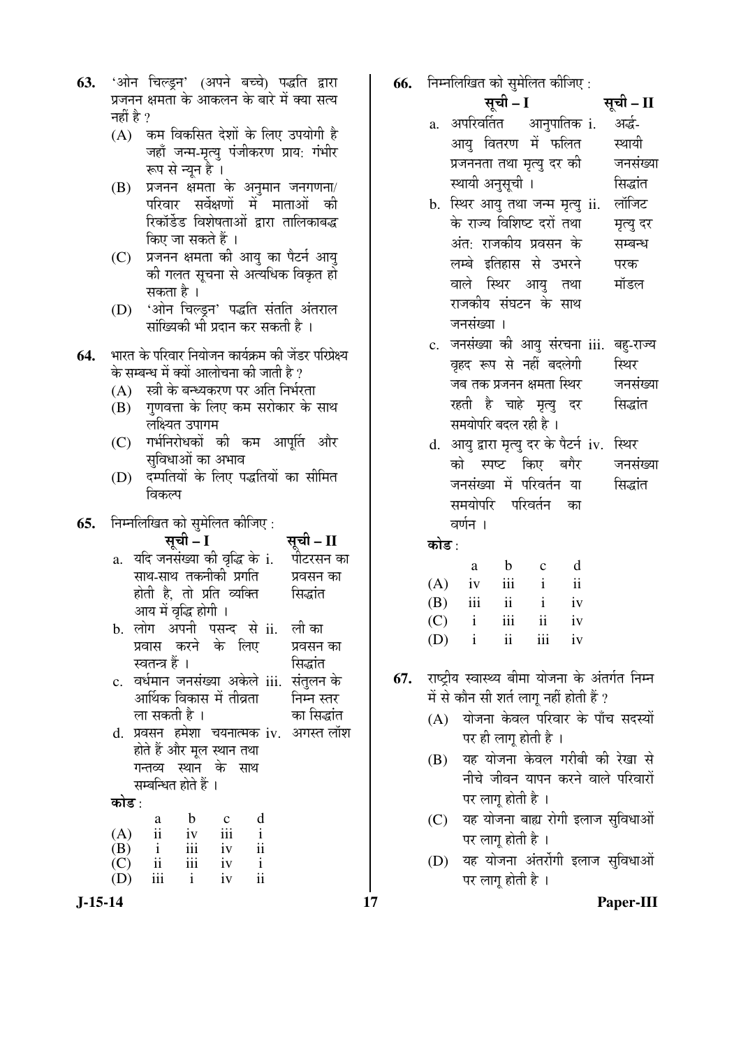|           | 63. 'ओन चिल्ड्न' (अपने बच्चे) पद्धति द्वारा |  |  |
|-----------|---------------------------------------------|--|--|
| नहीं है ? | प्रजनन क्षमता के आकलन के बारे में क्या सत्य |  |  |

- $(A)$  कम विकसित देशों के लिए उपयोगी है जहाँ जन्म-मृत्यु पंजीकरण प्राय: गंभीर रूप से न्यून है ।
- $(B)$  प्रजनन क्षमता के अनुमान जनगणना/ परिवार सर्वेक्षणों में माताओं की रिकॉर्डेड विशेषताओं द्वारा तालिकाबद्ध किए जा सकते हैं ।
- (C) प्रजनन क्षमता की आयु का पैटर्न आयु की गलत सूचना से अत्यधिक विकृत हो सकता है ।
- (D) 'ओन चिल्ड्न' पद्धति संतति अंतराल सांख्यिकी भी प्रदान कर सकती है ।
- **64.** भारत के परिवार नियोजन कार्यक्रम की जेंडर परिप्रेक्ष्य के सम्बन्ध में क्यों आलोचना की जाती है ?
	- $(A)$  स्त्री के बन्ध्यकरण पर अति निर्भरता
	- $(B)$  गणवत्ता के लिए कम सरोकार के साथ लक्ष्यित उपागम
	- (C) गर्भनिरोधकों की कम आपति और सविधाओं का अभाव
	- (D) दम्पतियों के लिए पद्धतियों का सीमित विकल्प
- **65.** निम्नलिखित को सुमेलित कीजिए :

|       |                                                                                                                                                                  |  | <b>सूची – I</b> सूची – II<br>a.  यदि जनसंख्या की वृद्धि के i.   पीटरसन का |
|-------|------------------------------------------------------------------------------------------------------------------------------------------------------------------|--|---------------------------------------------------------------------------|
|       |                                                                                                                                                                  |  |                                                                           |
|       | साथ-साथ तकनीको प्रगति                                                                                                                                            |  | प्रवसन का                                                                 |
|       |                                                                                                                                                                  |  | होती है, तो प्रति व्यक्ति   सिद्धांत                                      |
|       | आय में वृद्धि होगी ।                                                                                                                                             |  |                                                                           |
|       |                                                                                                                                                                  |  | b. लोग अपनी पसन्द से ii. लीका                                             |
|       | प्रवास करने के लिए                                                                                                                                               |  | प्रवसन का                                                                 |
|       | स्वतन्त्र हैं ।                                                                                                                                                  |  | सिद्धांत                                                                  |
|       |                                                                                                                                                                  |  | c.  वर्धमान जनसंख्या अकेले iii.  संतुलन के                                |
|       | आर्थिक विकास में तीव्रता                                                                                                                                         |  | निम्न स्तर                                                                |
|       | ला सकती है ।                                                                                                                                                     |  | का सिद्धांत                                                               |
|       |                                                                                                                                                                  |  | d. प्रवसन हमेशा चयनात्मक iv. अगस्त लॉश                                    |
|       | होते हैं और मूल स्थान तथा                                                                                                                                        |  |                                                                           |
|       | गन्तव्य स्थान के साथ                                                                                                                                             |  |                                                                           |
|       | सम्बन्धित होते हैं ।                                                                                                                                             |  |                                                                           |
| कोड : |                                                                                                                                                                  |  |                                                                           |
|       | $\begin{array}{ccccccccc} & & a & b & c & d\\ (A) & ii & iv & iii & i\\ (B) & i & iii & iv & ii\\ (C) & ii & iii & iv & i\\ (D) & iii & i & iv & ii \end{array}$ |  |                                                                           |
|       |                                                                                                                                                                  |  |                                                                           |
|       |                                                                                                                                                                  |  |                                                                           |
|       |                                                                                                                                                                  |  |                                                                           |
|       |                                                                                                                                                                  |  |                                                                           |

**66.** निम्नलिखित को समेलित कीजिए ·

|       | .<br>$\sim$ $\sim$ $\sim$<br>$\cdots \cdots \cdots \cdots$<br>सूची – I |                           |  |              |    | सूची – II |                                          |  |
|-------|------------------------------------------------------------------------|---------------------------|--|--------------|----|-----------|------------------------------------------|--|
|       | a. अपरिवर्तित आनुपातिक i.                                              |                           |  |              |    |           | अर्द्ध-                                  |  |
|       |                                                                        | आयु वितरण में फलित        |  |              |    |           | स्थायी                                   |  |
|       |                                                                        | प्रजननता तथा मृत्यु दर की |  |              |    |           | जनसंख्या                                 |  |
|       |                                                                        | स्थायी अनुसूची ।          |  |              |    |           | सिद्धांत                                 |  |
|       | b. स्थिर आयु तथा जन्म मृत्यु ii.                                       |                           |  |              |    |           | लॉजिट                                    |  |
|       |                                                                        | के राज्य विशिष्ट दरों तथा |  |              |    |           | मृत्यु दर                                |  |
|       |                                                                        | अंत: राजकीय प्रवसन के     |  |              |    |           | सम्बन्ध                                  |  |
|       |                                                                        | लम्बे इतिहास से उभरने     |  |              |    |           | परक                                      |  |
|       |                                                                        | वाले स्थिर आयु तथा        |  |              |    |           | मॉडल                                     |  |
|       |                                                                        | राजकीय संघटन के साथ       |  |              |    |           |                                          |  |
|       | जनसंख्या ।                                                             |                           |  |              |    |           |                                          |  |
|       |                                                                        |                           |  |              |    |           | c. जनसंख्या की आयु संरचना iii. बहु-राज्य |  |
|       |                                                                        | वृहद रूप से नहीं बदलेगी   |  |              |    |           | स्थिर                                    |  |
|       |                                                                        |                           |  |              |    |           | जब तक प्रजनन क्षमता स्थिर       जनसंख्या |  |
|       |                                                                        | रहती है चाहे मृत्यु दर    |  |              |    |           | सिद्धांत                                 |  |
|       |                                                                        | समयोपरि बदल रही है ।      |  |              |    |           |                                          |  |
| d.    |                                                                        |                           |  |              |    |           | आयु द्वारा मृत्यु दर के पैटर्न iv. स्थिर |  |
|       |                                                                        |                           |  |              |    |           | को स्पष्ट किए बगैर जनसंख्या              |  |
|       |                                                                        | जनसंख्या में परिवर्तन या  |  |              |    |           | सिद्धांत                                 |  |
|       |                                                                        | समयोपरि परिवर्तन का       |  |              |    |           |                                          |  |
|       | वर्णन ।                                                                |                           |  |              |    |           |                                          |  |
| कोड : |                                                                        |                           |  |              |    |           |                                          |  |
|       |                                                                        | a b                       |  | $c$ d        |    |           |                                          |  |
|       | $(A)$ iv iii i ii                                                      |                           |  |              |    |           |                                          |  |
| (B)   |                                                                        | iii ii                    |  | $\mathbf{i}$ | iv |           |                                          |  |

67. राष्ट्रीय स्वास्थ्य बीमा योजना के अंतर्गत निम्न में से कौन सी शर्त लागू नहीं होती हैं ?

 $(C)$  i iii ii iv

(D) i ii iii iv

- (A) योजना केवल परिवार के पाँच सदस्यों पर ही लाग होती है ।
- (B) यह योजना केवल गरीबी की रेखा से नीचे जीवन यापन करने वाले परिवारों पर लाग होती है ।
- (C) यह योजना बाह्य रोगी इलाज सुविधाओं पर लागू होती है ।
- (D) यह योजना अंतर्रोगी इलाज सुविधाओं पर लागू होती है ।

**J-15-14 17 Paper-III**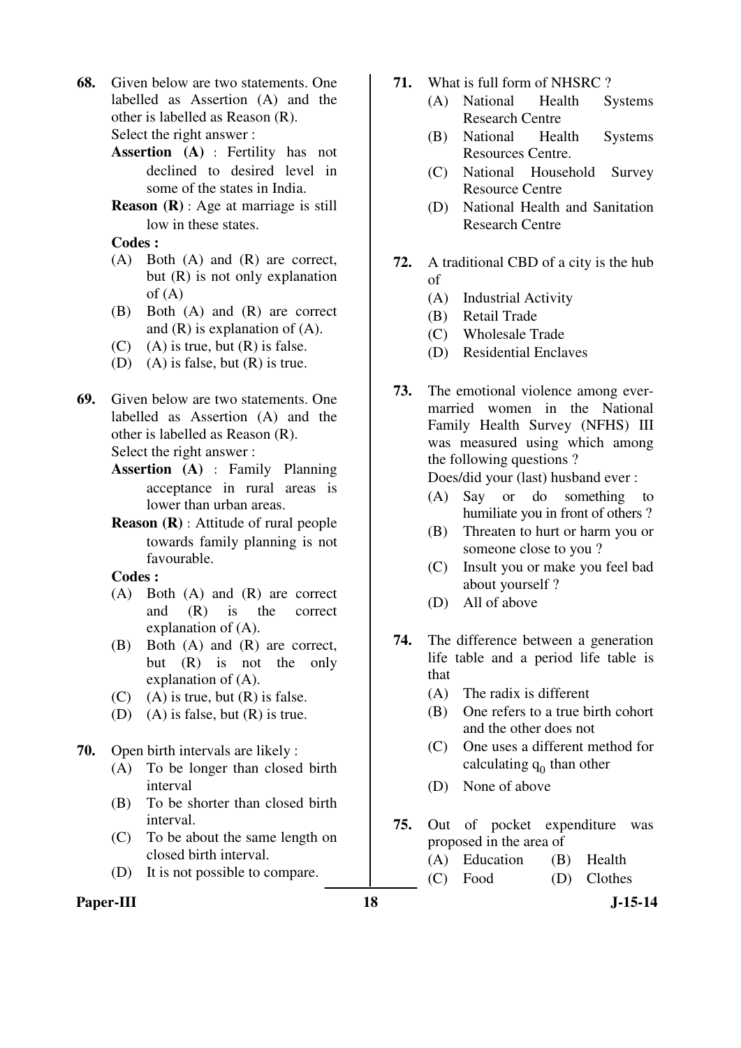- **68.** Given below are two statements. One labelled as Assertion (A) and the other is labelled as Reason (R). Select the right answer :
	- **Assertion (A)** : Fertility has not declined to desired level in some of the states in India.
	- **Reason (R)** : Age at marriage is still low in these states.

**Codes :** 

- (A) Both (A) and (R) are correct, but (R) is not only explanation  $of (A)$
- (B) Both (A) and (R) are correct and  $(R)$  is explanation of  $(A)$ .
- $(C)$  (A) is true, but  $(R)$  is false.
- (D) (A) is false, but (R) is true.
- **69.** Given below are two statements. One labelled as Assertion (A) and the other is labelled as Reason (R). Select the right answer :
	- **Assertion (A)** : Family Planning acceptance in rural areas is lower than urban areas.
	- **Reason (R)** : Attitude of rural people towards family planning is not favourable.

**Codes :** 

- (A) Both (A) and (R) are correct and (R) is the correct explanation of (A).
- (B) Both (A) and (R) are correct, but (R) is not the only explanation of (A).
- $(C)$  (A) is true, but  $(R)$  is false.
- (D) (A) is false, but  $(R)$  is true.
- **70.** Open birth intervals are likely :
	- (A) To be longer than closed birth interval
	- (B) To be shorter than closed birth interval.
	- (C) To be about the same length on closed birth interval.
	- (D) It is not possible to compare.
- Paper-III **18** J-15-14
- **71.** What is full form of NHSRC ?
	- (A) National Health Systems Research Centre
	- (B) National Health Systems Resources Centre.
	- (C) National Household Survey Resource Centre
	- (D) National Health and Sanitation Research Centre
- **72.** A traditional CBD of a city is the hub of
	- (A) Industrial Activity
	- (B) Retail Trade
	- (C) Wholesale Trade
	- (D) Residential Enclaves
- **73.** The emotional violence among evermarried women in the National Family Health Survey (NFHS) III was measured using which among the following questions ?

Does/did your (last) husband ever :

- (A) Say or do something to humiliate you in front of others ?
- (B) Threaten to hurt or harm you or someone close to you ?
- (C) Insult you or make you feel bad about yourself ?
- (D) All of above
- **74.** The difference between a generation life table and a period life table is that
	- (A) The radix is different
	- (B) One refers to a true birth cohort and the other does not
	- (C) One uses a different method for calculating  $q_0$  than other
	- (D) None of above
- **75.** Out of pocket expenditure was proposed in the area of
	- (A) Education (B) Health
	- (C) Food (D) Clothes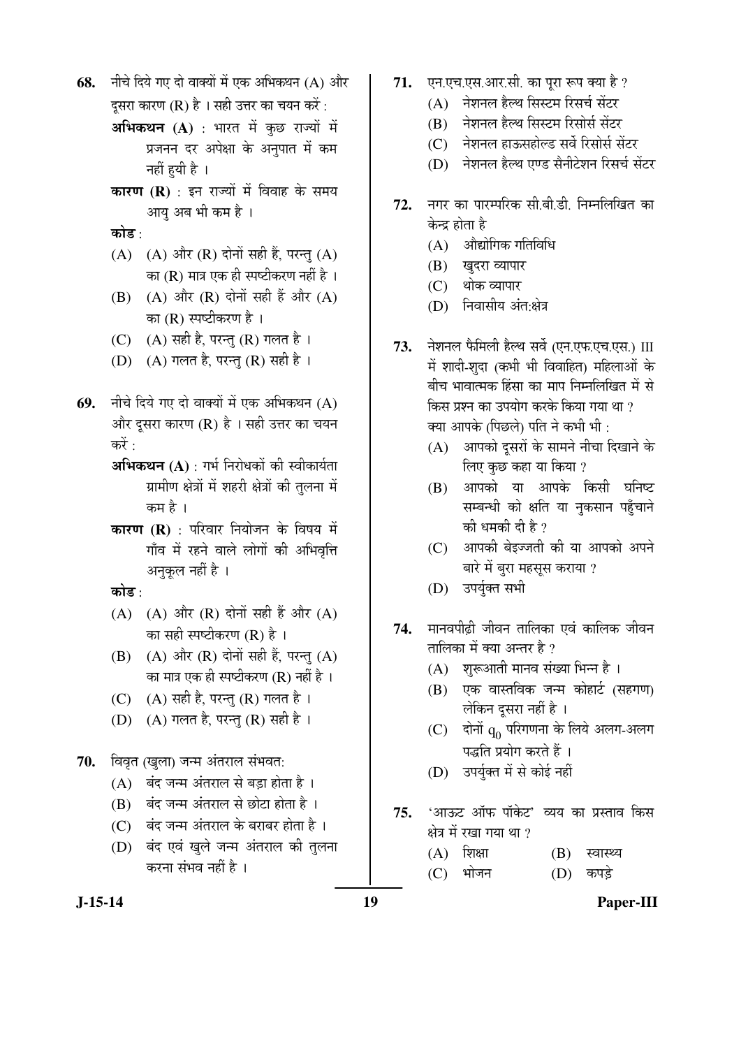नीचे दिये गए दो वाक्यों में एक अभिकथन (A) और 68.

दुसरा कारण (R) है । सही उत्तर का चयन करें :

- अभिकथन (A) : भारत में कुछ राज्यों में प्रजनन दर अपेक्षा के अनुपात में कम नहीं हयी है ।
- **कारण (R)** : इन राज्यों में विवाह के समय आयु अब भी कम है ।
- कोड :
- (A) (A) और (R) दोनों सही हैं, परन्तु (A) का (R) मात्र एक ही स्पष्टीकरण नहीं है ।
- (B) (A) और (R) दोनों सही हैं और (A) का (R) स्पष्टीकरण है ।
- (C) (A) सही है, परन्तु (R) गलत है।
- (D) (A) गलत है, परन्तु (R) सही है।
- नीचे दिये गए दो वाक्यों में एक अभिकथन (A) 69. और दूसरा कारण (R) है। सही उत्तर का चयन करें .
	- अभिकथन (A) : गर्भ निरोधकों की स्वीकार्यता ग्रामीण क्षेत्रों में शहरी क्षेत्रों की तुलना में कम है ।
	- **कारण (R)** : परिवार नियोजन के विषय में गाँव में रहने वाले लोगों की अभिवृत्ति अनुकूल नहीं है ।
	- कोड :
	- (A) (A) और (R) दोनों सही हैं और (A) का सही स्पष्टीकरण (R) है।
	- (B) (A) और (R) दोनों सही हैं, परन्तु (A) का मात्र एक ही स्पष्टीकरण (R) नहीं है ।
	- (C) (A) सही है, परन्तु (R) गलत है।
	- (D) (A) गलत है, परन्तु (R) सही है।
- 70. विवृत (खुला) जन्म अंतराल संभवत:
	- (A) बंद जन्म अंतराल से बड़ा होता है।
	- (B) बंद जन्म अंतराल से छोटा होता है।
	- (C) बंद जन्म अंतराल के बराबर होता है।
	- (D) बंद एवं खुले जन्म अंतराल की तुलना करना संभव नहीं है ।
- 71. एन.एच.एस.आर.सी. का पुरा रूप क्या है ?
	- (A) नेशनल हैल्थ सिस्टम रिसर्च सेंटर
	- (B) नेशनल हैल्थ सिस्टम रिसोर्स सेंटर
	- (C) नेशनल हाऊसहोल्ड सर्वे रिसोर्स सेंटर
	- (D) नेशनल हैल्थ एण्ड सैनीटेशन रिसर्च सेंटर
- नगर का पारम्परिक सी.बी.डी. निम्नलिखित का 72. केन्द्र होता है
	- $(A)$  औद्योगिक गतिविधि
	- (B) खुदरा व्यापार
	- (C) थोक व्यापार
	- (D) निवासीय अंत:क्षेत्र
- 73. नेशनल फैमिली हैल्थ सर्वे (एन.एफ.एच.एस.) III में शादी-शुदा (कभी भी विवाहित) महिलाओं के बीच भावात्मक हिंसा का माप निम्नलिखित में से किस प्रश्न का उपयोग करके किया गया था ? क्या आपके (पिछले) पति ने कभी भी :
	- (A) आपको दूसरों के सामने नीचा दिखाने के लिए कुछ कहा या किया ?
	- (B) आपको या आपके किसी घनिष्ट सम्बन्धी को क्षति या नुकसान पहुँचाने की धमकी दी है ?
	- (C) आपकी बेइज्जती की या आपको अपने बारे में बरा महसस कराया ?
	- (D) उपर्युक्त सभी
- मानवपीढ़ी जीवन तालिका एवं कालिक जीवन 74. तालिका में क्या अन्तर है ?
	- (A) शुरूआती मानव संख्या भिन्न है।
	- (B) एक वास्तविक जन्म कोहार्ट (सहगण) लेकिन दूसरा नहीं है ।
	- $(C)$  दोनों  $q_0$  परिगणना के लिये अलग-अलग पद्धति प्रयोग करते हैं ।
	- (D) उपर्युक्त में से कोई नहीं
- 'आऊट ऑफ पॉकेट' व्यय का प्रस्ताव किस 75. क्षेत्र में रखा गया था ?
	- $(A)$  शिक्षा  $(B)$  स्वास्थ्य
	- $(D)$  कपड़े  $(C)$  भोजन

 $J-15-14$ 

Paper-III